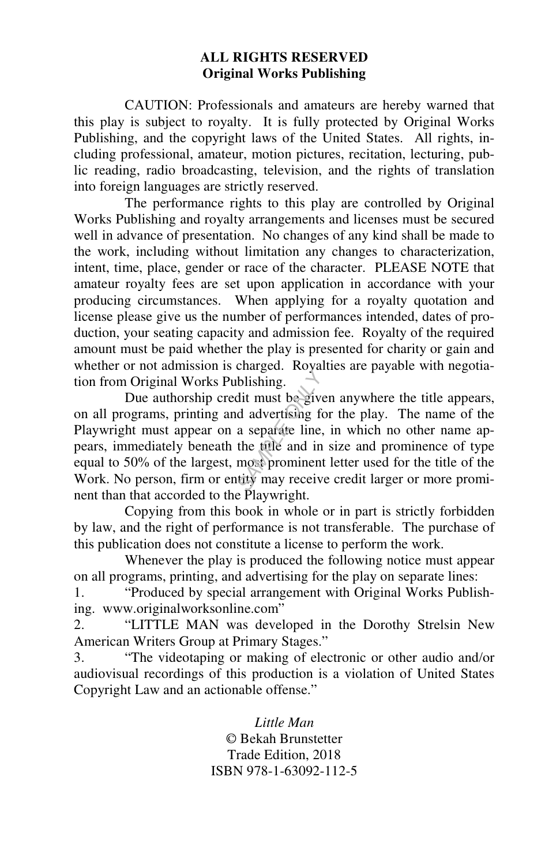#### **ALL RIGHTS RESERVED Original Works Publishing**

 CAUTION: Professionals and amateurs are hereby warned that this play is subject to royalty. It is fully protected by Original Works Publishing, and the copyright laws of the United States. All rights, including professional, amateur, motion pictures, recitation, lecturing, public reading, radio broadcasting, television, and the rights of translation into foreign languages are strictly reserved.

 The performance rights to this play are controlled by Original Works Publishing and royalty arrangements and licenses must be secured well in advance of presentation. No changes of any kind shall be made to the work, including without limitation any changes to characterization, intent, time, place, gender or race of the character. PLEASE NOTE that amateur royalty fees are set upon application in accordance with your producing circumstances. When applying for a royalty quotation and license please give us the number of performances intended, dates of production, your seating capacity and admission fee. Royalty of the required amount must be paid whether the play is presented for charity or gain and whether or not admission is charged. Royalties are payable with negotiation from Original Works Publishing.

 Due authorship credit must be given anywhere the title appears, on all programs, printing and advertising for the play. The name of the Playwright must appear on a separate line, in which no other name appears, immediately beneath the title and in size and prominence of type equal to 50% of the largest, most prominent letter used for the title of the Work. No person, firm or entity may receive credit larger or more prominent than that accorded to the Playwright. blishing.<br>blishing.<br>dit must be give<br>d advertising for<br>a separate line,<br>the title and in<br>most prominent<br>try may receiv

 Copying from this book in whole or in part is strictly forbidden by law, and the right of performance is not transferable. The purchase of this publication does not constitute a license to perform the work.

 Whenever the play is produced the following notice must appear on all programs, printing, and advertising for the play on separate lines:

1. "Produced by special arrangement with Original Works Publishing. www.originalworksonline.com"

2. "LITTLE MAN was developed in the Dorothy Strelsin New American Writers Group at Primary Stages."

3. "The videotaping or making of electronic or other audio and/or audiovisual recordings of this production is a violation of United States Copyright Law and an actionable offense."

> *Little Man*  © Bekah Brunstetter Trade Edition, 2018 ISBN 978-1-63092-112-5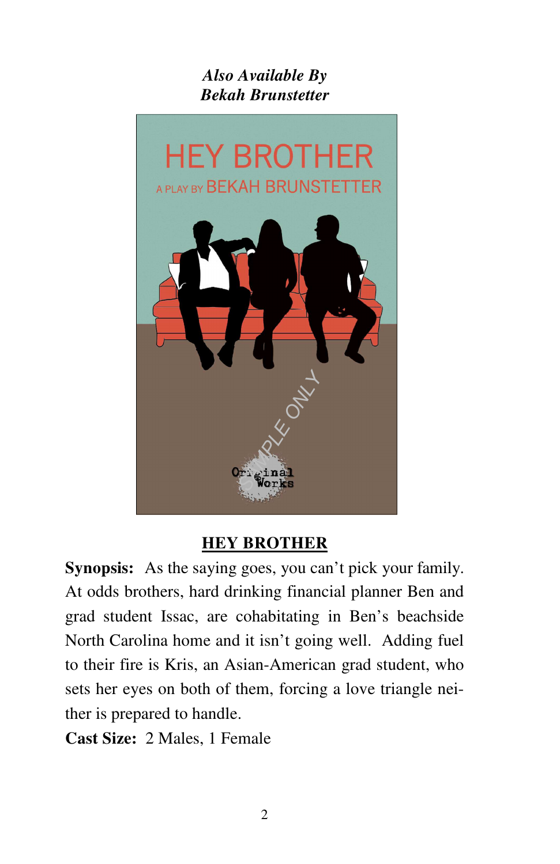## *Also Available By Bekah Brunstetter*



### **HEY BROTHER**

**Synopsis:** As the saying goes, you can't pick your family. At odds brothers, hard drinking financial planner Ben and grad student Issac, are cohabitating in Ben's beachside North Carolina home and it isn't going well. Adding fuel to their fire is Kris, an Asian-American grad student, who sets her eyes on both of them, forcing a love triangle neither is prepared to handle.

**Cast Size:** 2 Males, 1 Female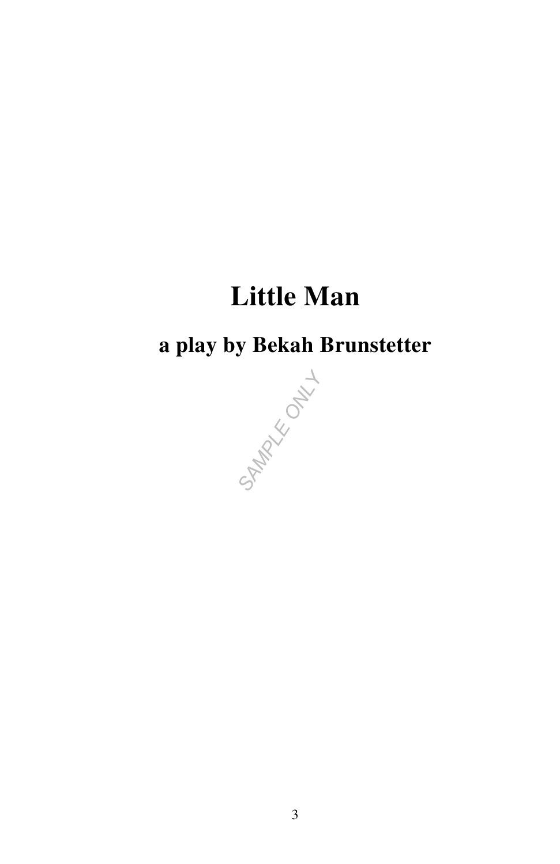# **Little Man**

## **a play by Bekah Brunstetter**

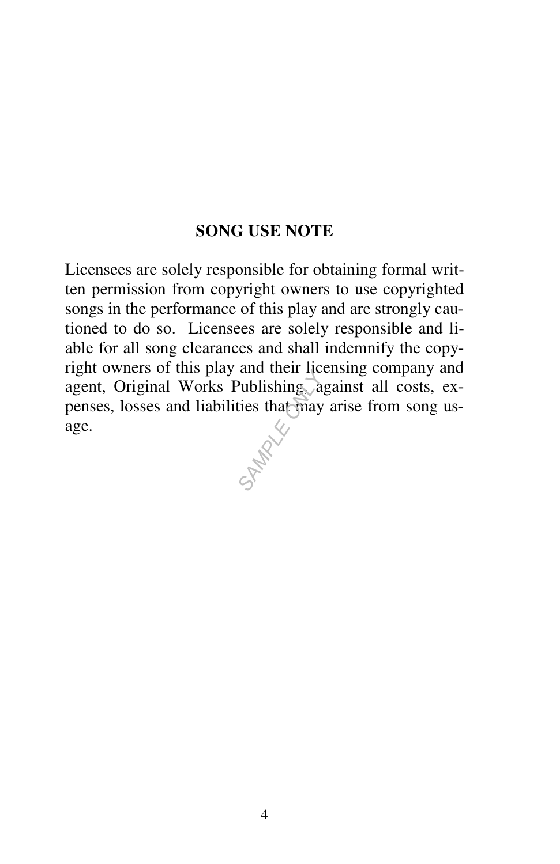### **SONG USE NOTE**

Licensees are solely responsible for obtaining formal written permission from copyright owners to use copyrighted songs in the performance of this play and are strongly cautioned to do so. Licensees are solely responsible and liable for all song clearances and shall indemnify the copyright owners of this play and their licensing company and agent, Original Works Publishing, against all costs, expenses, losses and liabilities that may arise from song usage.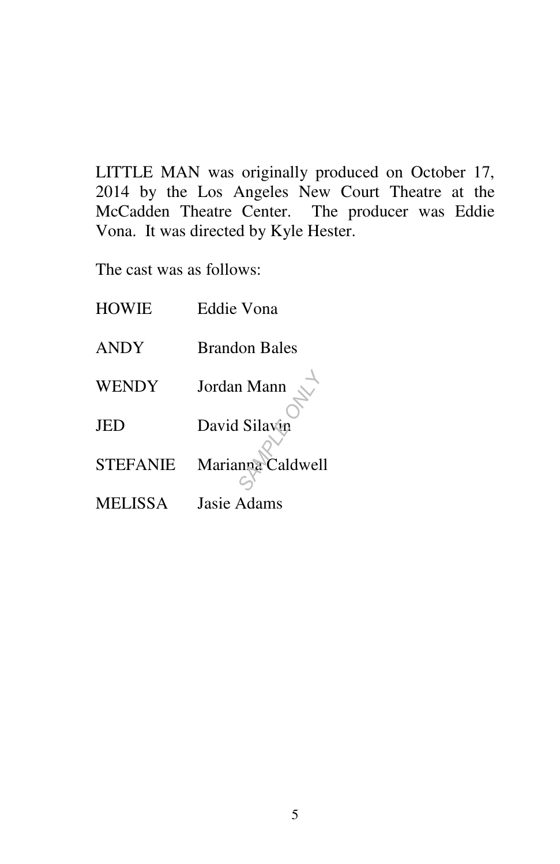LITTLE MAN was originally produced on October 17, 2014 by the Los Angeles New Court Theatre at the McCadden Theatre Center. The producer was Eddie Vona. It was directed by Kyle Hester.

The cast was as follows:

| <b>HOWIE</b>    | Eddie Vona           |
|-----------------|----------------------|
| <b>ANDY</b>     | <b>Brandon Bales</b> |
| <b>WENDY</b>    | Jordan Mann          |
| <b>JED</b>      | David Silavin        |
| <b>STEFANIE</b> | Marianna Caldwell    |
| <b>MELISSA</b>  | Jasie Adams          |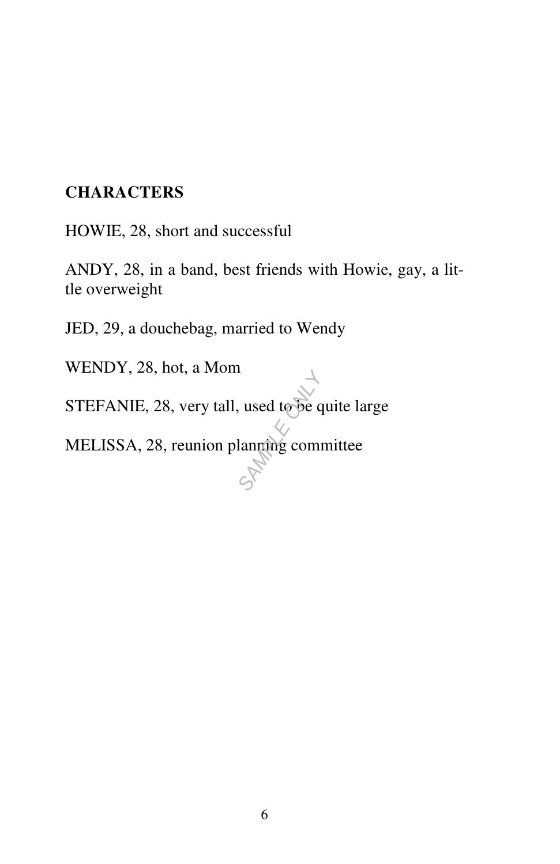### **CHARACTERS**

HOWIE, 28, short and successful

ANDY, 28, in a band, best friends with Howie, gay, a little overweight

JED, 29, a douchebag, married to Wendy

WENDY, 28, hot, a Mom

STEFANIE, 28, very tall, used to be quite large STEFANIE, 28, very tall, used to be quite la<br>MELISSA, 28, reunion planning committee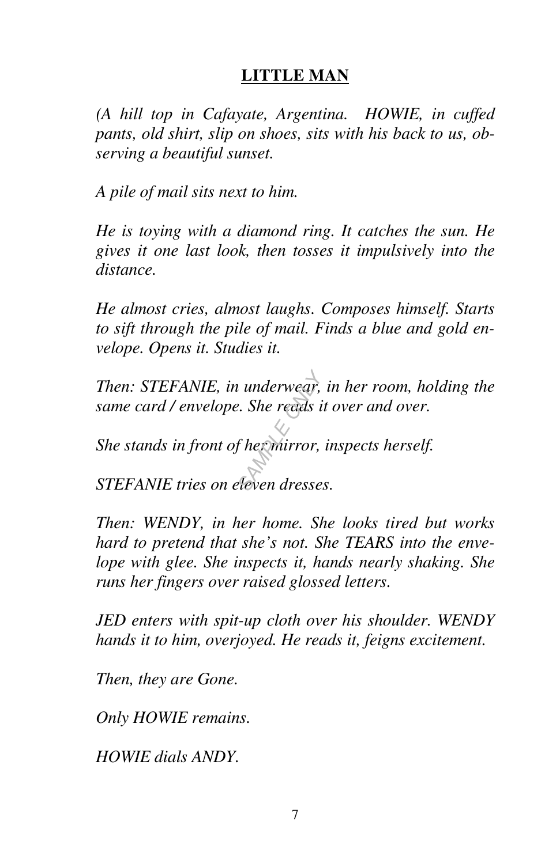### **LITTLE MAN**

*(A hill top in Cafayate, Argentina. HOWIE, in cuffed pants, old shirt, slip on shoes, sits with his back to us, observing a beautiful sunset.* 

*A pile of mail sits next to him.* 

*He is toying with a diamond ring. It catches the sun. He gives it one last look, then tosses it impulsively into the distance.* 

*He almost cries, almost laughs. Composes himself. Starts to sift through the pile of mail. Finds a blue and gold envelope. Opens it. Studies it.* 

*Then: STEFANIE, in underwear, in her room, holding the same card / envelope. She reads it over and over.*<br>She stands in front of hermirror, inspects herself.<br>STEFANIE tries on eleven dresses. *same card / envelope. She reads it over and over.* 

*She stands in front of her mirror, inspects herself.* 

*STEFANIE tries on eleven dresses.* 

*Then: WENDY, in her home. She looks tired but works hard to pretend that she's not. She TEARS into the envelope with glee. She inspects it, hands nearly shaking. She runs her fingers over raised glossed letters.* 

*JED enters with spit-up cloth over his shoulder. WENDY hands it to him, overjoyed. He reads it, feigns excitement.* 

*Then, they are Gone.* 

*Only HOWIE remains.* 

*HOWIE dials ANDY.*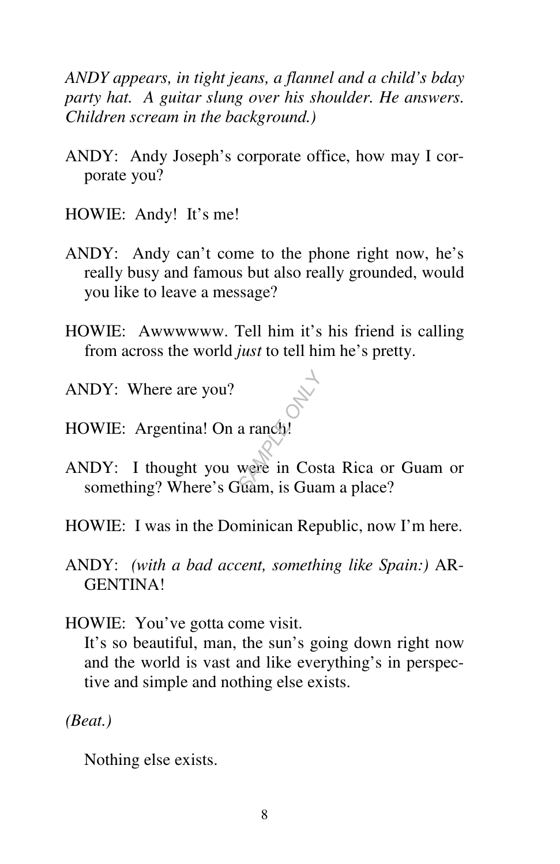*ANDY appears, in tight jeans, a flannel and a child's bday party hat. A guitar slung over his shoulder. He answers. Children scream in the background.)* 

- ANDY: Andy Joseph's corporate office, how may I corporate you?
- HOWIE: Andy! It's me!
- ANDY: Andy can't come to the phone right now, he's really busy and famous but also really grounded, would you like to leave a message?
- HOWIE: Awwwwww. Tell him it's his friend is calling from across the world *just* to tell him he's pretty.
- ANDY: Where are you?
- HOWIE: Argentina! On a ranch!
- ANDY: I thought you were in Costa Rica or Guam or something? Where's Guam, is Guam a place? a ranch<sup>y</sup><br>a ranch<sup>y</sup><br>were in Cos
- HOWIE: I was in the Dominican Republic, now I'm here.
- ANDY: *(with a bad accent, something like Spain:)* AR-GENTINA!
- HOWIE: You've gotta come visit.

 It's so beautiful, man, the sun's going down right now and the world is vast and like everything's in perspective and simple and nothing else exists.

*(Beat.)* 

Nothing else exists.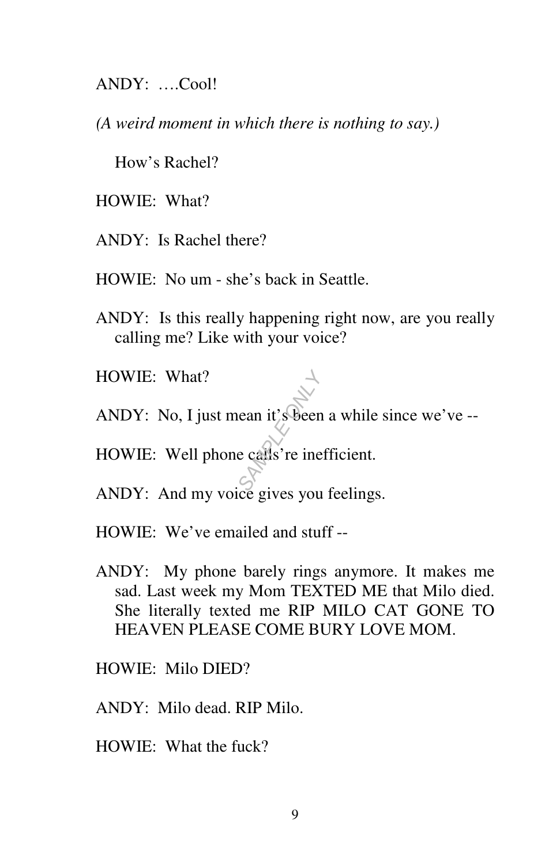ANDY: ….Cool!

*(A weird moment in which there is nothing to say.)* 

How's Rachel?

HOWIE: What?

ANDY: Is Rachel there?

HOWIE: No um - she's back in Seattle.

- ANDY: Is this really happening right now, are you really calling me? Like with your voice?
- HOWIE: What?
- ANDY: No, I just mean it's been a while since we've -- **SAMPLE ONLY ASSESS**<br>
BECAUS TO THE ONLY THE ONLY THE ONLY THE ONLY THE ONLY THE ONLY THE ONLY THE ONLY THE ONLY THE ONLY THE ONLY THE ONLY THE ONLY THE ONLY THE ONLY THE ONLY THE ONLY THE ONLY THE ONLY THE ONLY THE ONLY T

HOWIE: Well phone calls're inefficient.

- ANDY: And my voice gives you feelings.
- HOWIE: We've emailed and stuff --
- ANDY: My phone barely rings anymore. It makes me sad. Last week my Mom TEXTED ME that Milo died. She literally texted me RIP MILO CAT GONE TO HEAVEN PLEASE COME BURY LOVE MOM.
- HOWIE: Milo DIED?
- ANDY: Milo dead. RIP Milo.
- HOWIE: What the fuck?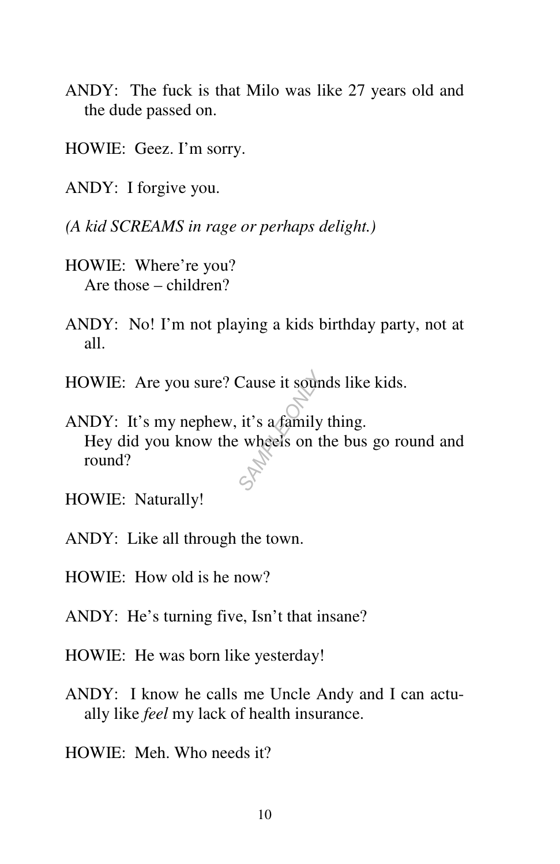- ANDY: The fuck is that Milo was like 27 years old and the dude passed on.
- HOWIE: Geez. I'm sorry.
- ANDY: I forgive you.
- *(A kid SCREAMS in rage or perhaps delight.)*
- HOWIE: Where're you? Are those – children?
- ANDY: No! I'm not playing a kids birthday party, not at all.
- 
- HOWIE: Are you sure? Cause it sounds like kids.<br>
ANDY: It's my nephew, it's a family thing.<br>
Hey did you know the wheels on the bus go round? ANDY: It's my nephew, it's a family thing. Hey did you know the wheels on the bus go round and round?
- HOWIE: Naturally!
- ANDY: Like all through the town.
- HOWIE: How old is he now?
- ANDY: He's turning five, Isn't that insane?
- HOWIE: He was born like yesterday!
- ANDY: I know he calls me Uncle Andy and I can actually like *feel* my lack of health insurance.
- HOWIE: Meh. Who needs it?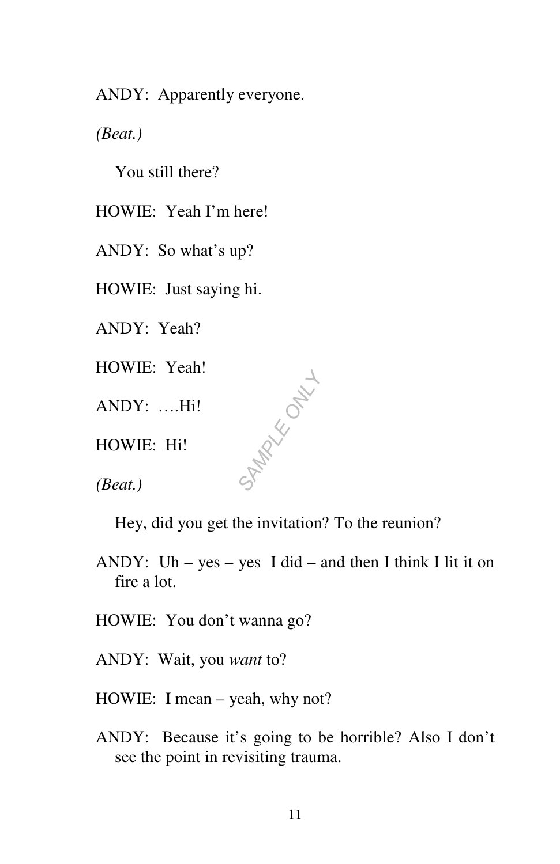ANDY: Apparently everyone.

*(Beat.)* 

You still there?

HOWIE: Yeah I'm here!

ANDY: So what's up?

HOWIE: Just saying hi.

ANDY: Yeah?

HOWIE: Yeah!

ANDY: ….Hi!

HOWIE: Hi!

*(Beat.)* 

Hey, did you get the invitation? To the reunion?

*SAMPLE ONLY*

ANDY: Uh – yes – yes I did – and then I think I lit it on fire a lot.

HOWIE: You don't wanna go?

ANDY: Wait, you *want* to?

HOWIE: I mean – yeah, why not?

ANDY: Because it's going to be horrible? Also I don't see the point in revisiting trauma.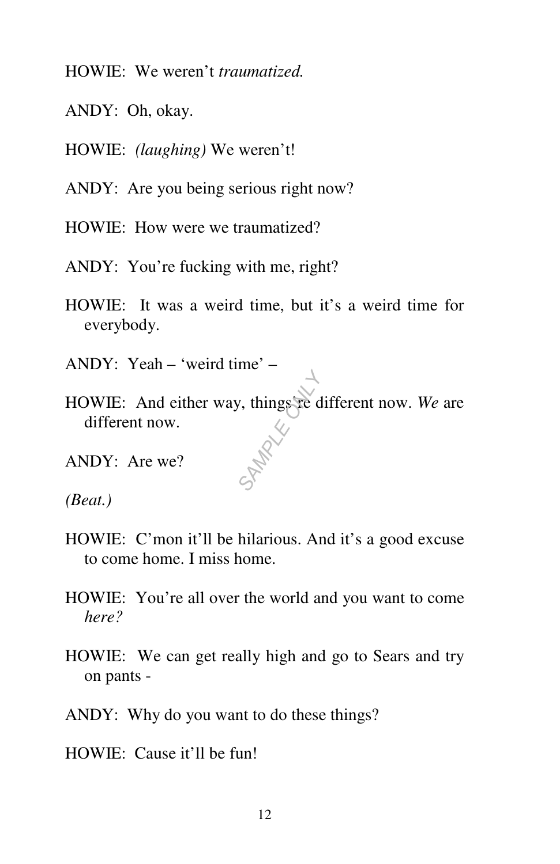- HOWIE: We weren't *traumatized.*
- ANDY: Oh, okay.
- HOWIE: *(laughing)* We weren't!
- ANDY: Are you being serious right now?
- HOWIE: How were we traumatized?
- ANDY: You're fucking with me, right?
- HOWIE: It was a weird time, but it's a weird time for everybody.
- ANDY: Yeah 'weird time' –
- HOWIE: And either way, things're different now. *We* are different now. **MARIA**
- ANDY: Are we?
- *(Beat.)*
- HOWIE: C'mon it'll be hilarious. And it's a good excuse to come home. I miss home.
- HOWIE: You're all over the world and you want to come *here?*
- HOWIE: We can get really high and go to Sears and try on pants -
- ANDY: Why do you want to do these things?
- HOWIE: Cause it'll be fun!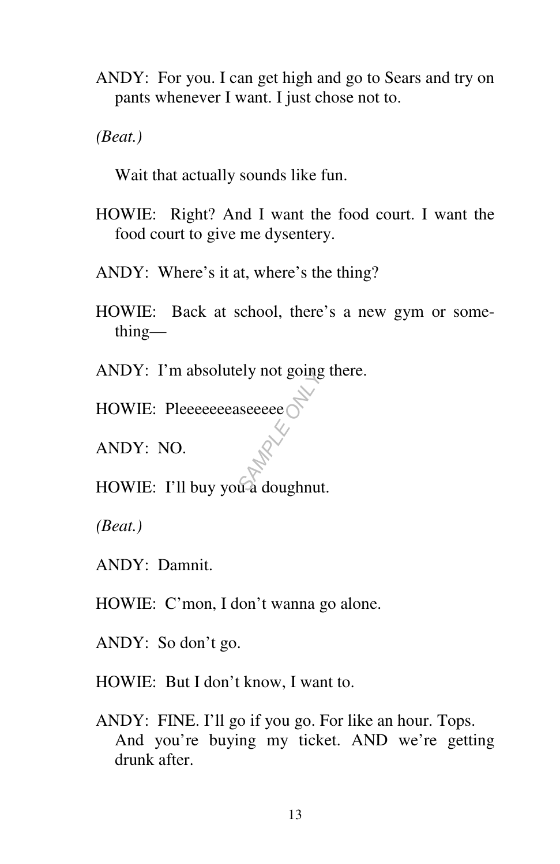ANDY: For you. I can get high and go to Sears and try on pants whenever I want. I just chose not to.

*(Beat.)* 

Wait that actually sounds like fun.

- HOWIE: Right? And I want the food court. I want the food court to give me dysentery.
- ANDY: Where's it at, where's the thing?
- HOWIE: Back at school, there's a new gym or something—
- ANDY: I'm absolutely not going there.
- HOWIE: Pleeeeeeaseeeee

ANDY: NO.

HOWIE: I'll buy you a doughnut. *SAMPLE ONLY*

*(Beat.)* 

- ANDY: Damnit.
- HOWIE: C'mon, I don't wanna go alone.
- ANDY: So don't go.
- HOWIE: But I don't know, I want to.
- ANDY: FINE. I'll go if you go. For like an hour. Tops. And you're buying my ticket. AND we're getting drunk after.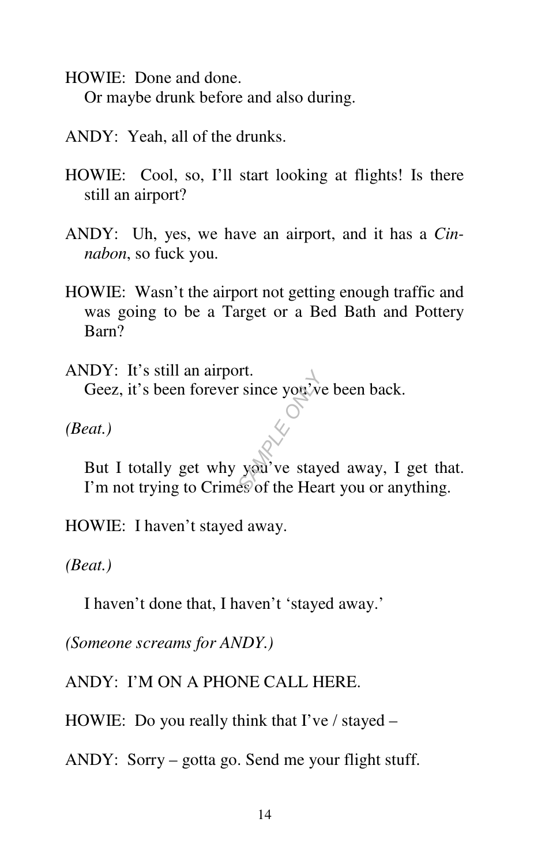HOWIE: Done and done. Or maybe drunk before and also during.

- ANDY: Yeah, all of the drunks.
- HOWIE: Cool, so, I'll start looking at flights! Is there still an airport?
- ANDY: Uh, yes, we have an airport, and it has a *Cinnabon*, so fuck you.
- HOWIE: Wasn't the airport not getting enough traffic and was going to be a Target or a Bed Bath and Pottery Barn?

ANDY: It's still an airport. Geez, it's been forever since you've been back.

*(Beat.)* 

 But I totally get why you've stayed away, I get that. I'm not trying to Crimes of the Heart you or anything. Fr.<br>Since you've<br>*SAM* ve stay<br>god've stay

HOWIE: I haven't stayed away.

*(Beat.)* 

I haven't done that, I haven't 'stayed away.'

*(Someone screams for ANDY.)* 

ANDY: I'M ON A PHONE CALL HERE.

HOWIE: Do you really think that  $\Gamma$  ve / stayed –

ANDY: Sorry – gotta go. Send me your flight stuff.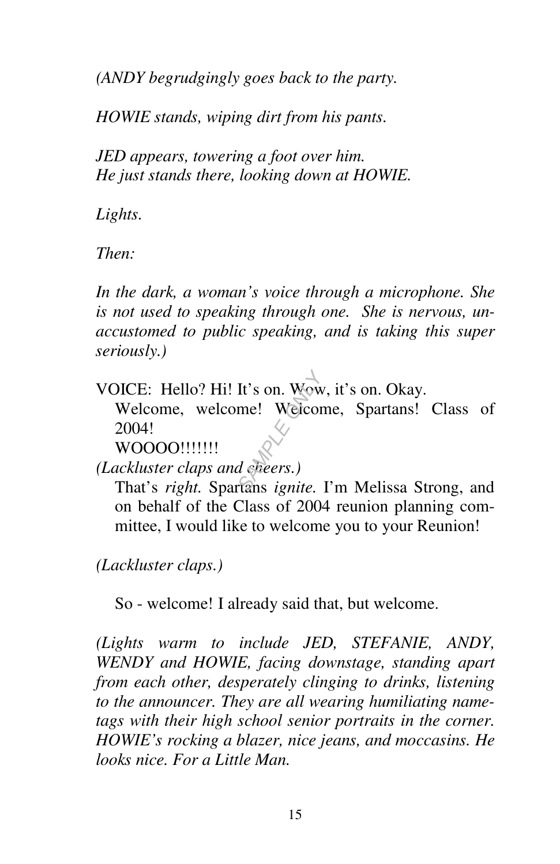*(ANDY begrudgingly goes back to the party.* 

*HOWIE stands, wiping dirt from his pants.* 

*JED appears, towering a foot over him. He just stands there, looking down at HOWIE.* 

*Lights.* 

*Then:* 

*In the dark, a woman's voice through a microphone. She is not used to speaking through one. She is nervous, unaccustomed to public speaking, and is taking this super seriously.)* 

VOICE: Hello? Hi! It's on. Wow, it's on. Okay.

 Welcome, welcome! Welcome, Spartans! Class of 2004! *SAMPLE* It's on. Wow<br> *SAMPLE Welcor*<br> *SAMPLE ONLY*<br> *SAMPLE ONLY SAMPLE.* 

WOOOO!!!!!!!

*(Lackluster claps and cheers.)* 

 That's *right.* Spartans *ignite.* I'm Melissa Strong, and on behalf of the Class of 2004 reunion planning committee, I would like to welcome you to your Reunion!

*(Lackluster claps.)* 

So - welcome! I already said that, but welcome.

*(Lights warm to include JED, STEFANIE, ANDY, WENDY and HOWIE, facing downstage, standing apart from each other, desperately clinging to drinks, listening to the announcer. They are all wearing humiliating nametags with their high school senior portraits in the corner. HOWIE's rocking a blazer, nice jeans, and moccasins. He looks nice. For a Little Man.*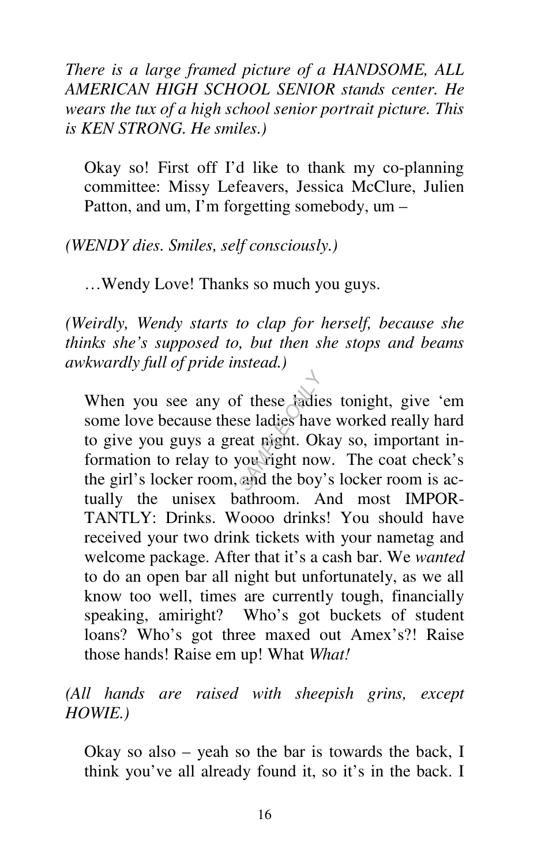*There is a large framed picture of a HANDSOME, ALL AMERICAN HIGH SCHOOL SENIOR stands center. He wears the tux of a high school senior portrait picture. This is KEN STRONG. He smiles.)* 

 Okay so! First off I'd like to thank my co-planning committee: Missy Lefeavers, Jessica McClure, Julien Patton, and um, I'm forgetting somebody, um –

*(WENDY dies. Smiles, self consciously.)* 

…Wendy Love! Thanks so much you guys.

*(Weirdly, Wendy starts to clap for herself, because she thinks she's supposed to, but then she stops and beams awkwardly full of pride instead.)* 

 When you see any of these ladies tonight, give 'em some love because these ladies have worked really hard to give you guys a great night. Okay so, important information to relay to you right now. The coat check's the girl's locker room, and the boy's locker room is actually the unisex bathroom. And most IMPOR-TANTLY: Drinks. Woooo drinks! You should have received your two drink tickets with your nametag and welcome package. After that it's a cash bar. We *wanted*  to do an open bar all night but unfortunately, as we all know too well, times are currently tough, financially speaking, amiright? Who's got buckets of student loans? Who's got three maxed out Amex's?! Raise those hands! Raise em up! What *What!*  f these *fadie*<br>se ladies have<br>eat night. Ok<br>you right nov<br>and the boy

*(All hands are raised with sheepish grins, except HOWIE.)* 

 Okay so also – yeah so the bar is towards the back, I think you've all already found it, so it's in the back. I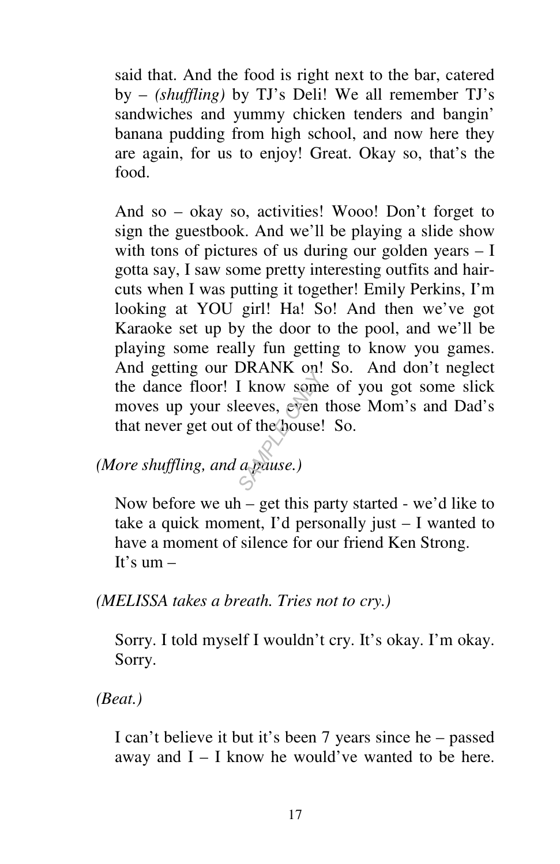said that. And the food is right next to the bar, catered by – *(shuffling)* by TJ's Deli! We all remember TJ's sandwiches and yummy chicken tenders and bangin' banana pudding from high school, and now here they are again, for us to enjoy! Great. Okay so, that's the food.

 And so – okay so, activities! Wooo! Don't forget to sign the guestbook. And we'll be playing a slide show with tons of pictures of us during our golden years – I gotta say, I saw some pretty interesting outfits and haircuts when I was putting it together! Emily Perkins, I'm looking at YOU girl! Ha! So! And then we've got Karaoke set up by the door to the pool, and we'll be playing some really fun getting to know you games. And getting our DRANK on! So. And don't neglect the dance floor! I know some of you got some slick moves up your sleeves, even those Mom's and Dad's that never get out of the house! So. *SKATK* on:<br>
I know some<br>
eeves, even<br>
of the house!<br> *a pause*.)

*(More shuffling, and a pause.)* 

 Now before we uh – get this party started - we'd like to take a quick moment, I'd personally just – I wanted to have a moment of silence for our friend Ken Strong. It's  $um -$ 

*(MELISSA takes a breath. Tries not to cry.)* 

 Sorry. I told myself I wouldn't cry. It's okay. I'm okay. Sorry.

*(Beat.)* 

 I can't believe it but it's been 7 years since he – passed away and  $I - I$  know he would've wanted to be here.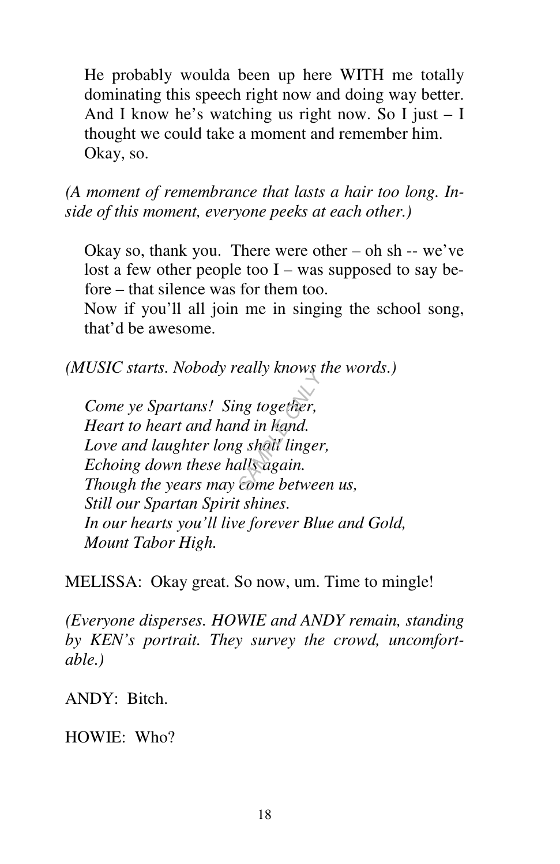He probably woulda been up here WITH me totally dominating this speech right now and doing way better. And I know he's watching us right now. So I just  $-1$ thought we could take a moment and remember him. Okay, so.

*(A moment of remembrance that lasts a hair too long. Inside of this moment, everyone peeks at each other.)*

Okay so, thank you. There were other  $-$  oh sh  $-$  we've lost a few other people too  $I$  – was supposed to say before – that silence was for them too.

 Now if you'll all join me in singing the school song, that'd be awesome.

*(MUSIC starts. Nobody really knows the words.)* 

*Come ye Spartans! Sing together, Heart to heart and hand in hand. Love and laughter long shall linger, Echoing down these halls again. Though the years may come between us, Still our Spartan Spirit shines. In our hearts you'll live forever Blue and Gold, Mount Tabor High.*  **Early Khows**<br>*SAMPLE ONLY AND*<br>*SAMPLE ONLY AND*<br>*SAMPLE ONLY AND*<br>*SOME betwee* 

MELISSA: Okay great. So now, um. Time to mingle!

*(Everyone disperses. HOWIE and ANDY remain, standing by KEN's portrait. They survey the crowd, uncomfortable.)* 

ANDY: Bitch.

HOWIE: Who?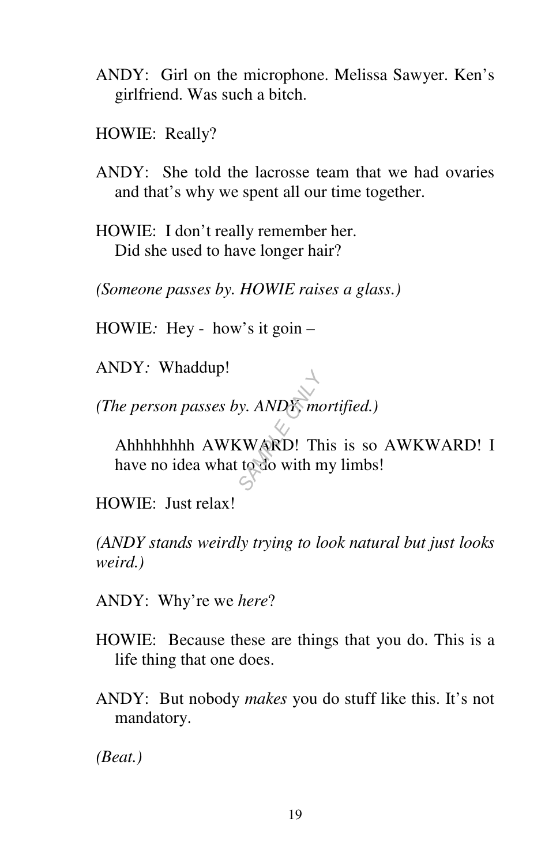- ANDY: Girl on the microphone. Melissa Sawyer. Ken's girlfriend. Was such a bitch.
- HOWIE: Really?
- ANDY: She told the lacrosse team that we had ovaries and that's why we spent all our time together.
- HOWIE: I don't really remember her. Did she used to have longer hair?

*(Someone passes by. HOWIE raises a glass.)* 

HOWIE*:* Hey - how's it goin –

ANDY*:* Whaddup!

*(The person passes by. ANDY, mortified.)* 

 Ahhhhhhhh AWKWARD! This is so AWKWARD! I have no idea what to do with my limbs! *S*<br> *S*<br>
SAMPLE Theory<br>
S<br>
S

HOWIE: Just relax!

*(ANDY stands weirdly trying to look natural but just looks weird.)* 

ANDY: Why're we *here*?

- HOWIE: Because these are things that you do. This is a life thing that one does.
- ANDY: But nobody *makes* you do stuff like this. It's not mandatory.

*(Beat.)*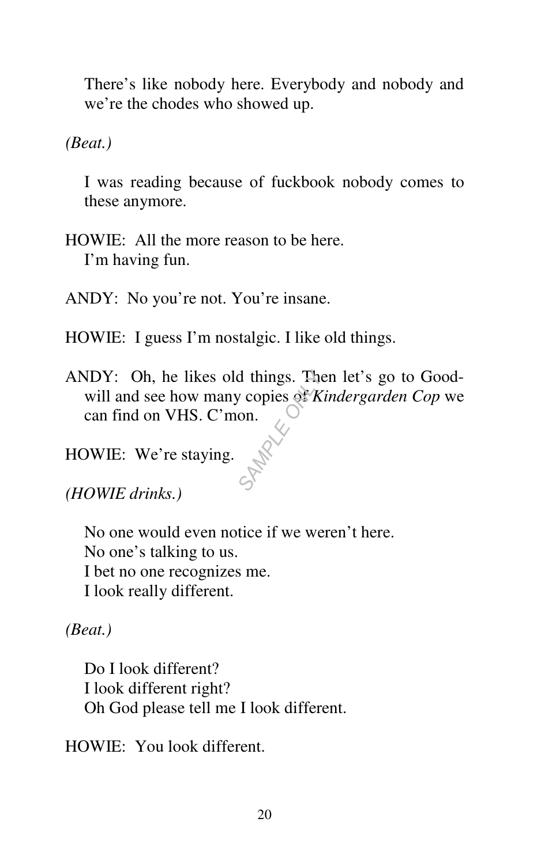There's like nobody here. Everybody and nobody and we're the chodes who showed up.

*(Beat.)* 

 I was reading because of fuckbook nobody comes to these anymore.

HOWIE: All the more reason to be here. I'm having fun.

ANDY: No you're not. You're insane.

HOWIE: I guess I'm nostalgic. I like old things.

ANDY: Oh, he likes old things. Then let's go to Goodwill and see how many copies of *Kindergarden Cop* we can find on VHS. C'mon. d things. The v copies of  $\overline{K}$  on  $\overline{S}$ 

HOWIE: We're staying.

*(HOWIE drinks.)* 

No one would even notice if we weren't here. No one's talking to us. I bet no one recognizes me. I look really different.

*(Beat.)* 

Do I look different? I look different right? Oh God please tell me I look different.

HOWIE: You look different.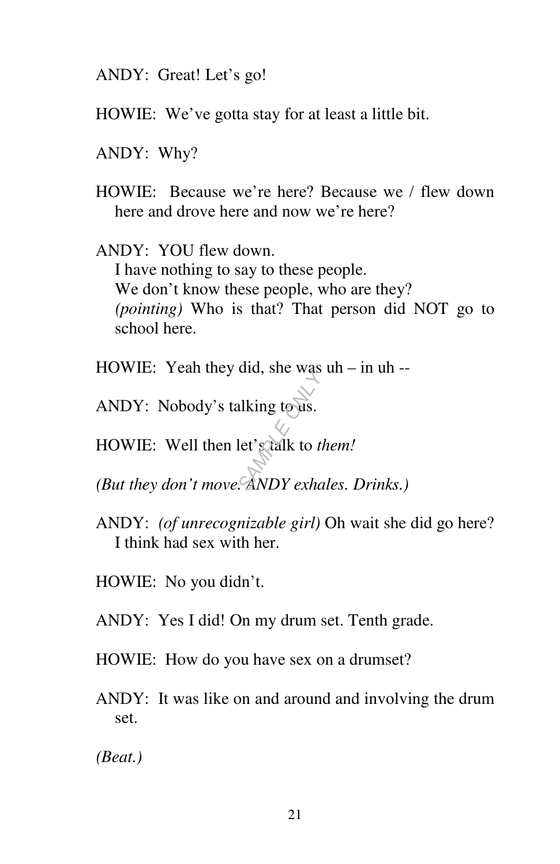ANDY: Great! Let's go!

- HOWIE: We've gotta stay for at least a little bit.
- ANDY: Why?
- HOWIE: Because we're here? Because we / flew down here and drove here and now we're here?

ANDY: YOU flew down. I have nothing to say to these people. We don't know these people, who are they? *(pointing)* Who is that? That person did NOT go to school here.

- HOWIE: Yeah they did, she was uh in uh --
- ANDY: Nobody's talking to us.
- HOWIE: Well then let's talk to *them!* and, site was<br>alking to us.<br>let's calk to the<br>*SANDY exha*
- *(But they don't move. ANDY exhales. Drinks.)*
- ANDY: *(of unrecognizable girl)* Oh wait she did go here? I think had sex with her.
- HOWIE: No you didn't.
- ANDY: Yes I did! On my drum set. Tenth grade.
- HOWIE: How do you have sex on a drumset?
- ANDY: It was like on and around and involving the drum set.

*(Beat.)*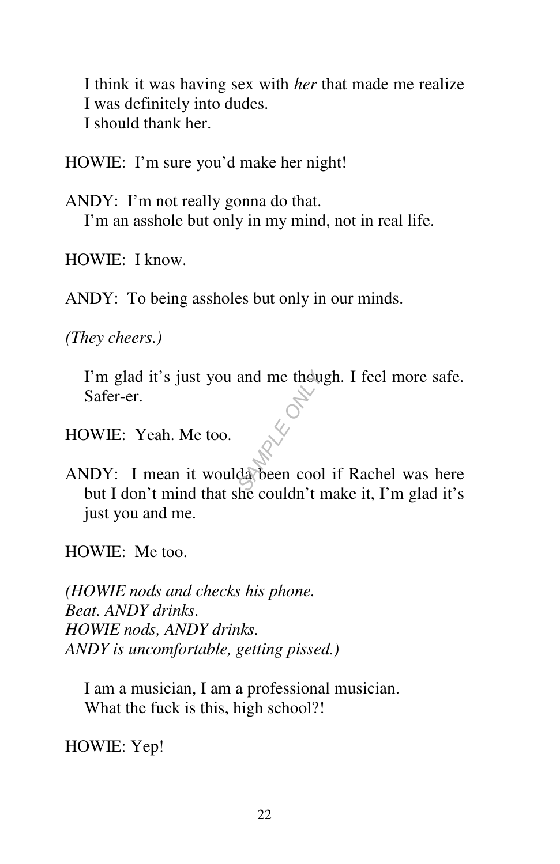I think it was having sex with *her* that made me realize I was definitely into dudes. I should thank her.

HOWIE: I'm sure you'd make her night!

ANDY: I'm not really gonna do that. I'm an asshole but only in my mind, not in real life.

HOWIE: I know.

ANDY: To being assholes but only in our minds.

*(They cheers.)* 

I'm glad it's just you and me though. I feel more safe. Safer-er. *SAMPLE ONLY*

HOWIE: Yeah. Me too.

ANDY: I mean it woulda been cool if Rachel was here but I don't mind that she couldn't make it, I'm glad it's just you and me.

HOWIE: Me too.

*(HOWIE nods and checks his phone. Beat. ANDY drinks. HOWIE nods, ANDY drinks. ANDY is uncomfortable, getting pissed.)* 

 I am a musician, I am a professional musician. What the fuck is this, high school?!

HOWIE: Yep!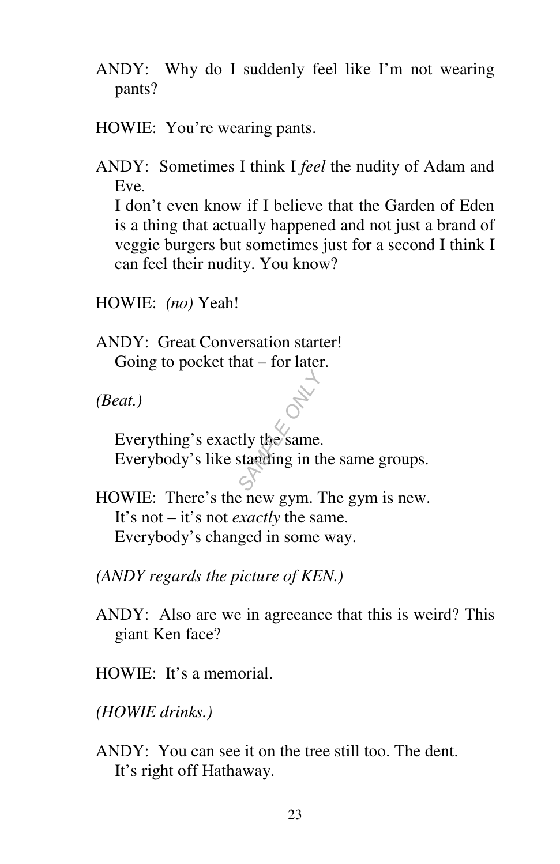- ANDY: Why do I suddenly feel like I'm not wearing pants?
- HOWIE: You're wearing pants.

ANDY: Sometimes I think I *feel* the nudity of Adam and Eve. I don't even know if I believe that the Garden of Eden is a thing that actually happened and not just a brand of

veggie burgers but sometimes just for a second I think I can feel their nudity. You know?

HOWIE: *(no)* Yeah!

ANDY: Great Conversation starter! Going to pocket that – for later.

*(Beat.)* 

 Everything's exactly the same. Everybody's like standing in the same groups. **SAMPLE OF STRANGE OF STRANGE OF STRANGE OF STRANGE OF STRANGE OF STRANGE OF STRANGE OF STRANGE OF STRANGE OF ST** 

HOWIE: There's the new gym. The gym is new. It's not – it's not *exactly* the same. Everybody's changed in some way.

*(ANDY regards the picture of KEN.)* 

ANDY: Also are we in agreeance that this is weird? This giant Ken face?

HOWIE: It's a memorial.

*(HOWIE drinks.)* 

ANDY: You can see it on the tree still too. The dent. It's right off Hathaway.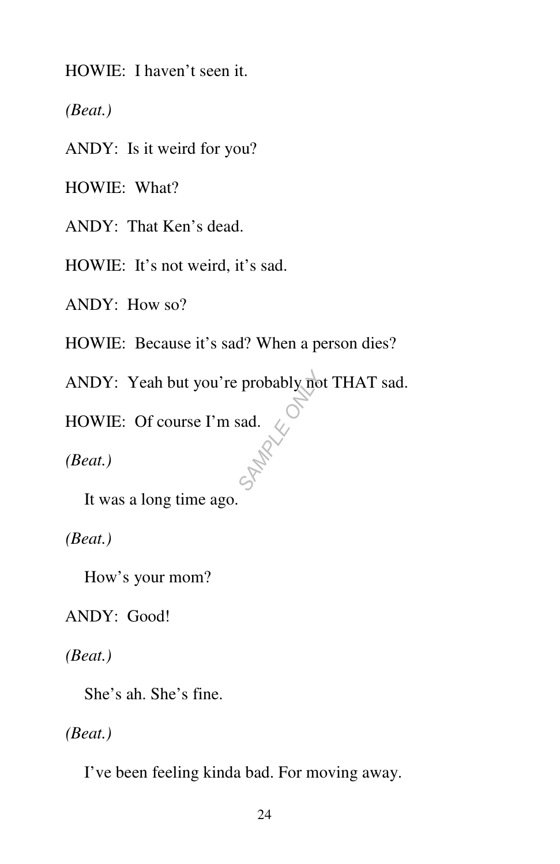HOWIE: I haven't seen it.

*(Beat.)* 

ANDY: Is it weird for you?

HOWIE: What?

ANDY: That Ken's dead.

HOWIE: It's not weird, it's sad.

ANDY: How so?

HOWIE: Because it's sad? When a person dies?

ANDY: Yeah but you're probably not THAT sad. probably no

HOWIE: Of course I'm sad.

*(Beat.)* 

It was a long time ago.

*(Beat.)* 

How's your mom?

ANDY: Good!

*(Beat.)* 

She's ah. She's fine.

*(Beat.)* 

I've been feeling kinda bad. For moving away.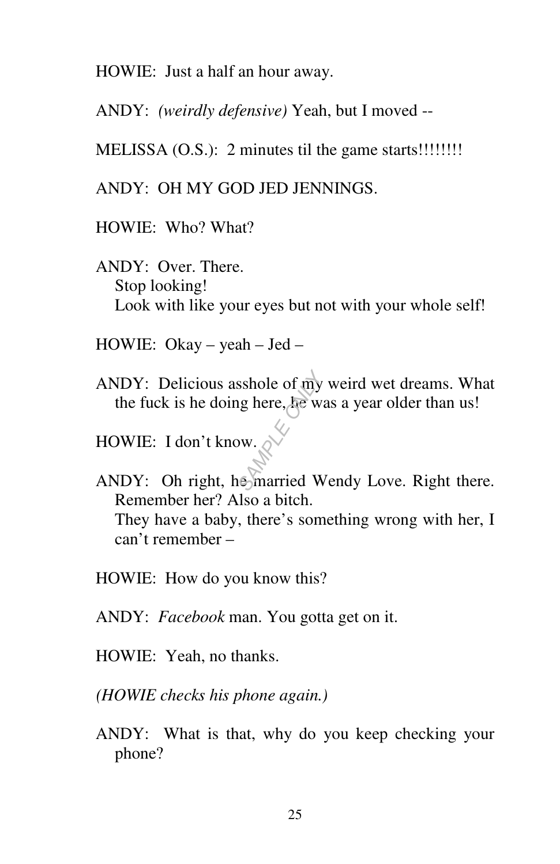HOWIE: Just a half an hour away.

ANDY: *(weirdly defensive)* Yeah, but I moved --

MELISSA (O.S.): 2 minutes til the game starts!!!!!!!!

ANDY: OH MY GOD JED JENNINGS.

HOWIE: Who? What?

ANDY: Over. There. Stop looking! Look with like your eyes but not with your whole self!

HOWIE: Okay – yeah – Jed –

ANDY: Delicious asshole of my weird wet dreams. What the fuck is he doing here, he was a year older than us! **SAMPLE OF THE ONLY ASSESSMENT**<br>
SAMPLE ONLY A STRAIN CONTINUES<br> **SAMPLE OF THE OR**<br>
STRAIN CONTINUES

HOWIE: I don't know.

ANDY: Oh right, he married Wendy Love. Right there. Remember her? Also a bitch. They have a baby, there's something wrong with her, I can't remember –

HOWIE: How do you know this?

ANDY: *Facebook* man. You gotta get on it.

HOWIE: Yeah, no thanks.

*(HOWIE checks his phone again.)* 

ANDY: What is that, why do you keep checking your phone?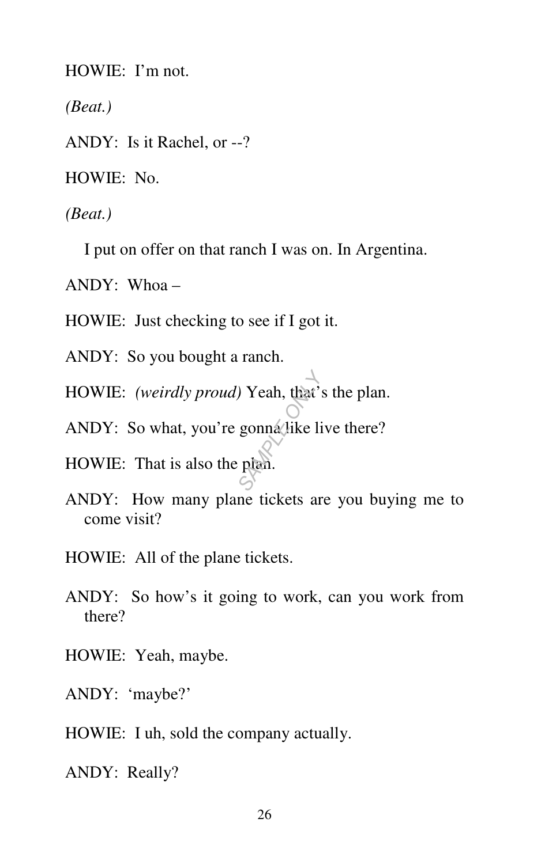HOWIE: I'm not.

*(Beat.)* 

ANDY: Is it Rachel, or --?

HOWIE: No.

*(Beat.)* 

I put on offer on that ranch I was on. In Argentina.

ANDY: Whoa –

HOWIE: Just checking to see if I got it.

ANDY: So you bought a ranch.

HOWIE: *(weirdly proud)* Yeah, that's the plan. *S*<br> *S*<br> *S*<br> *S*<br> *S*<br> *S*<br> *S* 

ANDY: So what, you're gonna like live there?

HOWIE: That is also the plan.

- ANDY: How many plane tickets are you buying me to come visit?
- HOWIE: All of the plane tickets.
- ANDY: So how's it going to work, can you work from there?
- HOWIE: Yeah, maybe.

ANDY: 'maybe?'

HOWIE: I uh, sold the company actually.

ANDY: Really?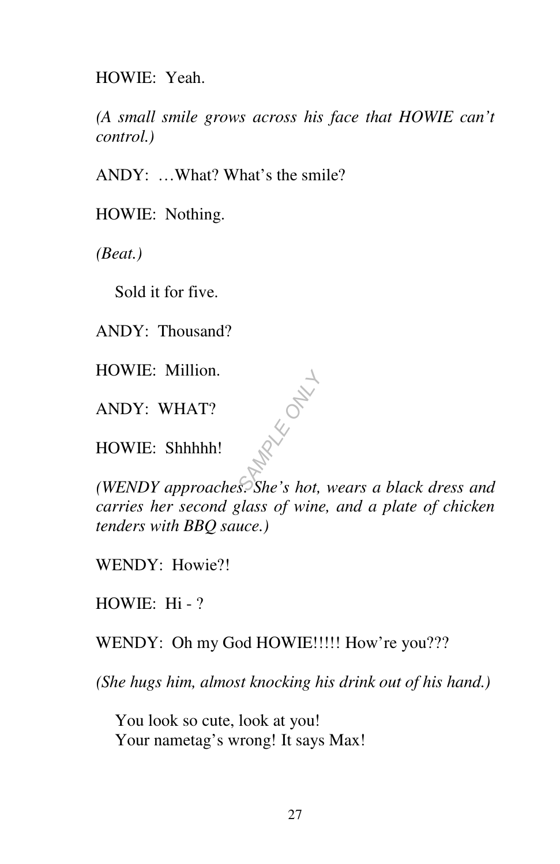HOWIE: Yeah.

*(A small smile grows across his face that HOWIE can't control.)* 

ANDY: …What? What's the smile?

HOWIE: Nothing.

*(Beat.)* 

Sold it for five.

ANDY: Thousand?

HOWIE: Million.

ANDY: WHAT?

HOWIE: Shhhhh!

*(WENDY approaches. She's hot, wears a black dress and carries her second glass of wine, and a plate of chicken tenders with BBQ sauce.)* 

*SAMPLE ONLY*

WENDY: Howie?!

HOWIE: Hi - ?

WENDY: Oh my God HOWIE!!!!! How're you???

*(She hugs him, almost knocking his drink out of his hand.)* 

 You look so cute, look at you! Your nametag's wrong! It says Max!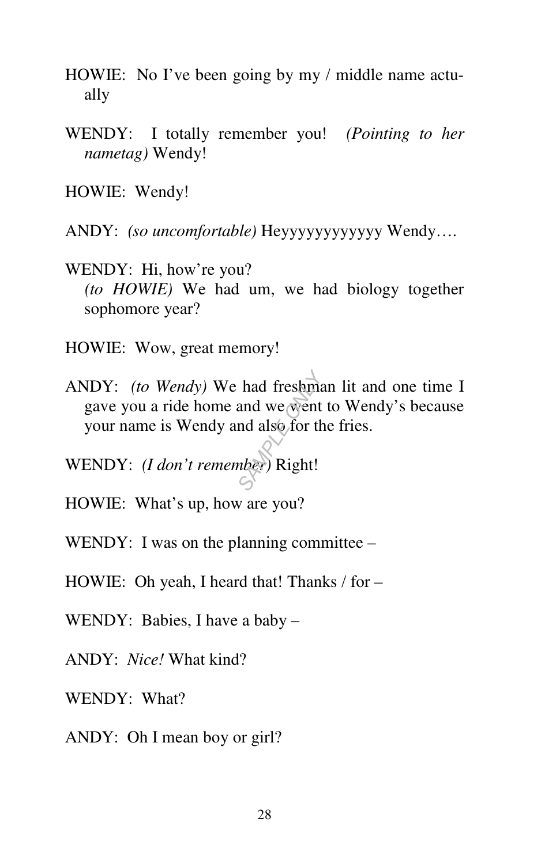- HOWIE: No I've been going by my / middle name actually
- WENDY: I totally remember you! *(Pointing to her nametag)* Wendy!

HOWIE: Wendy!

ANDY: *(so uncomfortable)* Heyyyyyyyyyyyy Wendy….

WENDY: Hi, how're you?  *(to HOWIE)* We had um, we had biology together sophomore year?

HOWIE: Wow, great memory!

ANDY: *(to Wendy)* We had freshman lit and one time I gave you a ride home and we went to Wendy's because your name is Wendy and also for the fries. **had freshmand we went**<br>and we went<br>may also for the<br>*S*<br>*S* 

WENDY: *(I don't remember)* Right!

HOWIE: What's up, how are you?

WENDY: I was on the planning committee –

HOWIE: Oh yeah, I heard that! Thanks / for –

WENDY: Babies, I have a baby –

ANDY: *Nice!* What kind?

WENDY: What?

ANDY: Oh I mean boy or girl?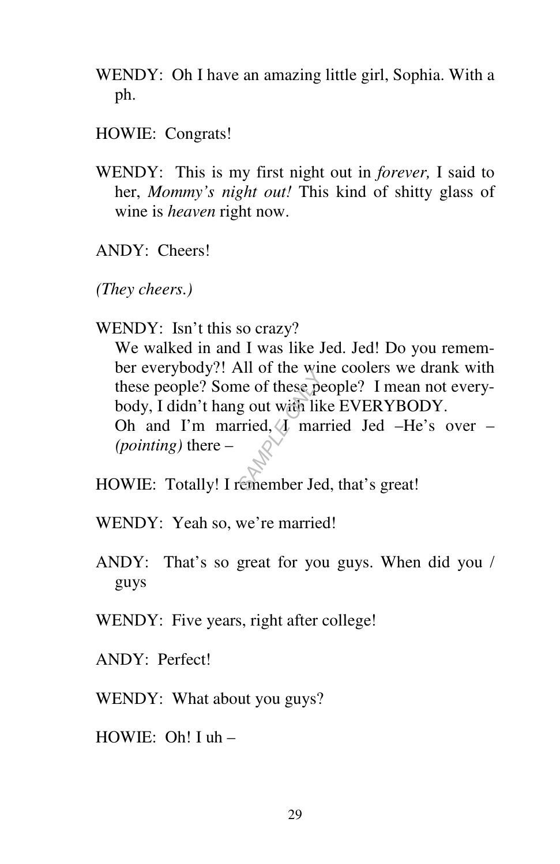- WENDY: Oh I have an amazing little girl, Sophia. With a ph.
- HOWIE: Congrats!
- WENDY: This is my first night out in *forever,* I said to her, *Mommy's night out!* This kind of shitty glass of wine is *heaven* right now.
- ANDY: Cheers!
- *(They cheers.)*
- WENDY: Isn't this so crazy?

 We walked in and I was like Jed. Jed! Do you remember everybody?! All of the wine coolers we drank with these people? Some of these people? I mean not everybody, I didn't hang out with like EVERYBODY. Oh and I'm married,  $\sqrt{1}$  married Jed –He's over – *(pointing)* there – **SAMPLE OF THE ONLY SEE THE OF THE OF THE OF THE OF THE OF THE OF THE OF THE OF THE OF THE OF THE OF THE OF THE OF THE OF THE OF THE OF THE OF THE OF THE OF THE OF THE OF THE OF THE OF THE OF THE OF THE OF THE OF THE OF TH** 

- HOWIE: Totally! I remember Jed, that's great!
- WENDY: Yeah so, we're married!
- ANDY: That's so great for you guys. When did you / guys
- WENDY: Five years, right after college!
- ANDY: Perfect!
- WENDY: What about you guys?
- HOWIE: Oh! I uh –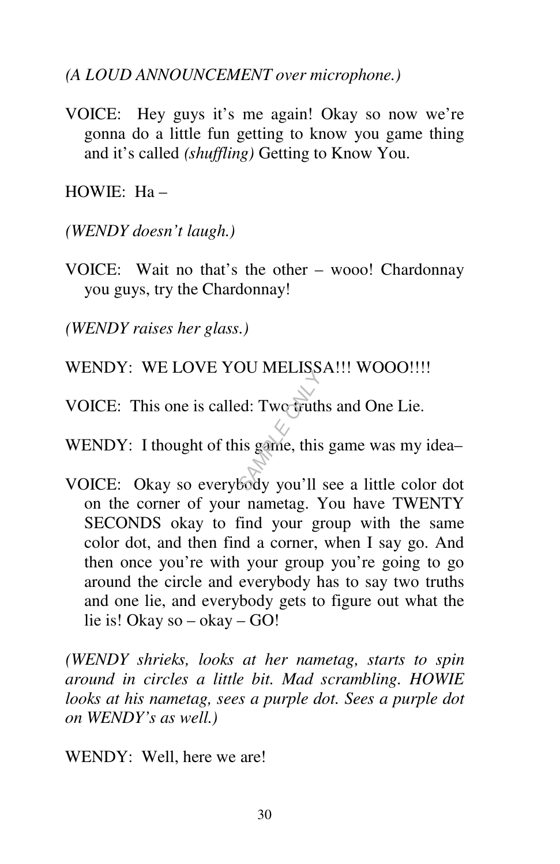*(A LOUD ANNOUNCEMENT over microphone.)* 

VOICE: Hey guys it's me again! Okay so now we're gonna do a little fun getting to know you game thing and it's called *(shuffling)* Getting to Know You.

 $HOWIE: Ha =$ 

*(WENDY doesn't laugh.)* 

VOICE: Wait no that's the other – wooo! Chardonnay you guys, try the Chardonnay!

*(WENDY raises her glass.)* 

- WENDY: WE LOVE YOU MELISSA!!! WOOO!!!!
- VOICE: This one is called: Two truths and One Lie. BUT MELLISTS.<br> **SAMPLE ONLY SAMPLE ONLY SET ONLY**<br>
SAGGY you'll
- WENDY: I thought of this game, this game was my idea-
- VOICE: Okay so everybody you'll see a little color dot on the corner of your nametag. You have TWENTY SECONDS okay to find your group with the same color dot, and then find a corner, when I say go. And then once you're with your group you're going to go around the circle and everybody has to say two truths and one lie, and everybody gets to figure out what the lie is! Okay so – okay – GO!

*(WENDY shrieks, looks at her nametag, starts to spin around in circles a little bit. Mad scrambling. HOWIE looks at his nametag, sees a purple dot. Sees a purple dot on WENDY's as well.)* 

WENDY: Well, here we are!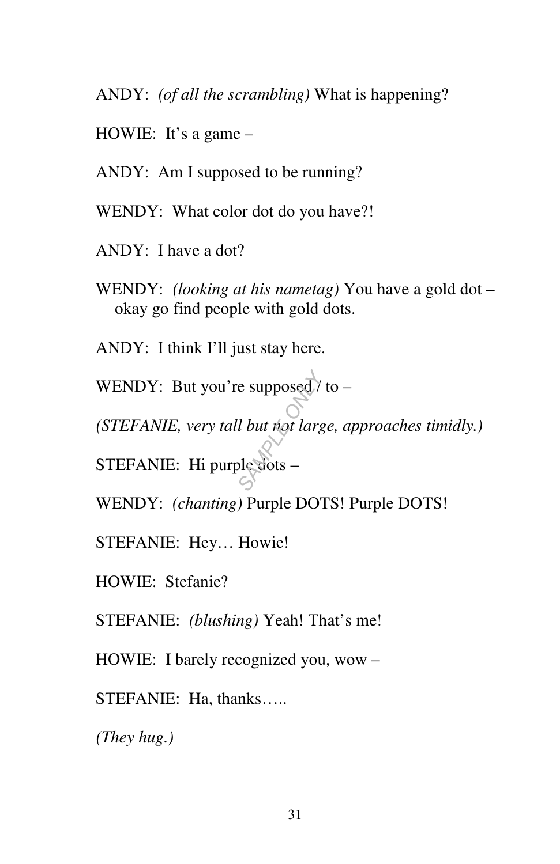ANDY: *(of all the scrambling)* What is happening?

HOWIE: It's a game –

ANDY: Am I supposed to be running?

WENDY: What color dot do you have?!

- ANDY: I have a dot?
- WENDY: *(looking at his nametag)* You have a gold dot okay go find people with gold dots.
- ANDY: I think I'll just stay here.

WENDY: But you're supposed  $/$  to – re supposed<sup>7</sup><br> *S*<br> *S*<br> *S*<br> *S*<br> *Lectots* –

*(STEFANIE, very tall but not large, approaches timidly.)* 

STEFANIE: Hi purple dots –

WENDY: *(chanting)* Purple DOTS! Purple DOTS!

STEFANIE: Hey… Howie!

HOWIE: Stefanie?

STEFANIE: *(blushing)* Yeah! That's me!

HOWIE: I barely recognized you, wow –

STEFANIE: Ha, thanks…..

*(They hug.)*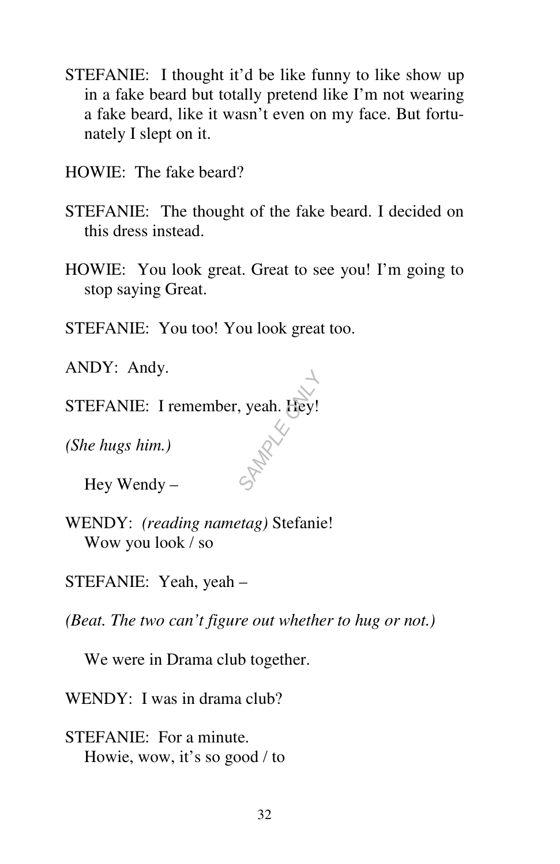- STEFANIE: I thought it'd be like funny to like show up in a fake beard but totally pretend like I'm not wearing a fake beard, like it wasn't even on my face. But fortunately I slept on it.
- HOWIE: The fake beard?
- STEFANIE: The thought of the fake beard. I decided on this dress instead.
- HOWIE: You look great. Great to see you! I'm going to stop saying Great.

*SAMPLE ONLY*

STEFANIE: You too! You look great too.

ANDY: Andy.

STEFANIE: I remember, yeah. Hey!

*(She hugs him.)* 

Hey Wendy –

- WENDY: *(reading nametag)* Stefanie! Wow you look / so
- STEFANIE: Yeah, yeah –

*(Beat. The two can't figure out whether to hug or not.)* 

We were in Drama club together.

WENDY: I was in drama club?

STEFANIE: For a minute. Howie, wow, it's so good / to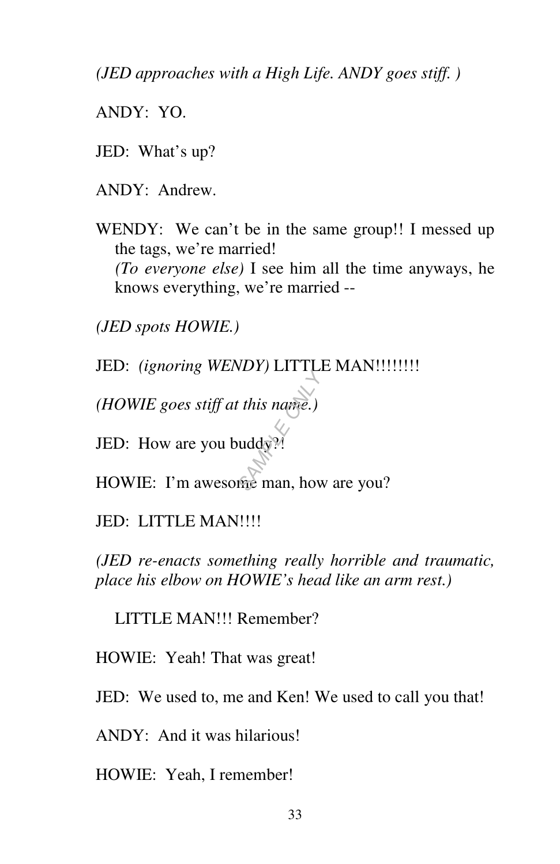*(JED approaches with a High Life. ANDY goes stiff. )* 

ANDY: YO.

- JED: What's up?
- ANDY: Andrew.
- WENDY: We can't be in the same group!! I messed up the tags, we're married! *(To everyone else)* I see him all the time anyways, he knows everything, we're married --

*(JED spots HOWIE.)* 

JED: *(ignoring WENDY)* LITTLE MAN!!!!!!!!!

*(HOWIE goes stiff at this name.)* 

JED: How are you buddy?

HOWIE: I'm awesome man, how are you? *SAMPLE*<br>
SAMPLE ONLY THE MANUSCHER ONLY THE ONLY THE ONLY THE ONLY THE ONLY THE ONLY THE ONLY THE ONLY THE ONLY THE ONLY THE ONLY THE ONLY THE ONLY THE ONLY THE ONLY THE ONLY THE ONLY THE ONLY THE ONLY THE ONLY THE ONLY T

### JED: LITTLE MAN!!!!

*(JED re-enacts something really horrible and traumatic, place his elbow on HOWIE's head like an arm rest.)* 

LITTLE MAN!!! Remember?

HOWIE: Yeah! That was great!

JED: We used to, me and Ken! We used to call you that!

ANDY: And it was hilarious!

HOWIE: Yeah, I remember!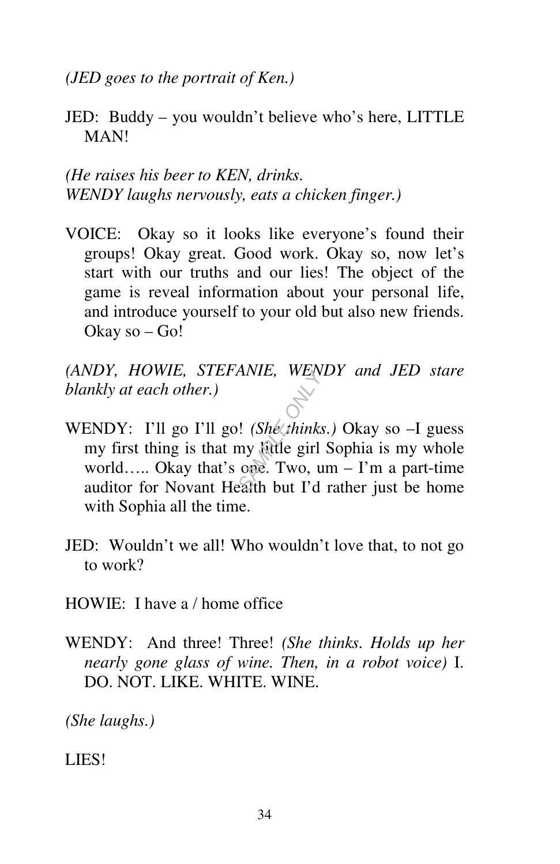*(JED goes to the portrait of Ken.)* 

JED: Buddy – you wouldn't believe who's here, LITTLE MAN!

*(He raises his beer to KEN, drinks. WENDY laughs nervously, eats a chicken finger.)* 

VOICE: Okay so it looks like everyone's found their groups! Okay great. Good work. Okay so, now let's start with our truths and our lies! The object of the game is reveal information about your personal life, and introduce yourself to your old but also new friends. Okay so – Go!

*(ANDY, HOWIE, STEFANIE, WENDY and JED stare blankly at each other.)* 

- WENDY: I'll go I'll go! *(She \thinks.)* Okay so -I guess my first thing is that my little girl Sophia is my whole world….. Okay that's one. Two, um – I'm a part-time auditor for Novant Health but I'd rather just be home with Sophia all the time. *SAMPLE ONLY*
- JED: Wouldn't we all! Who wouldn't love that, to not go to work?
- HOWIE: I have a / home office
- WENDY: And three! Three! *(She thinks. Holds up her nearly gone glass of wine. Then, in a robot voice)* I. DO. NOT. LIKE. WHITE. WINE.

*(She laughs.)* 

LIES!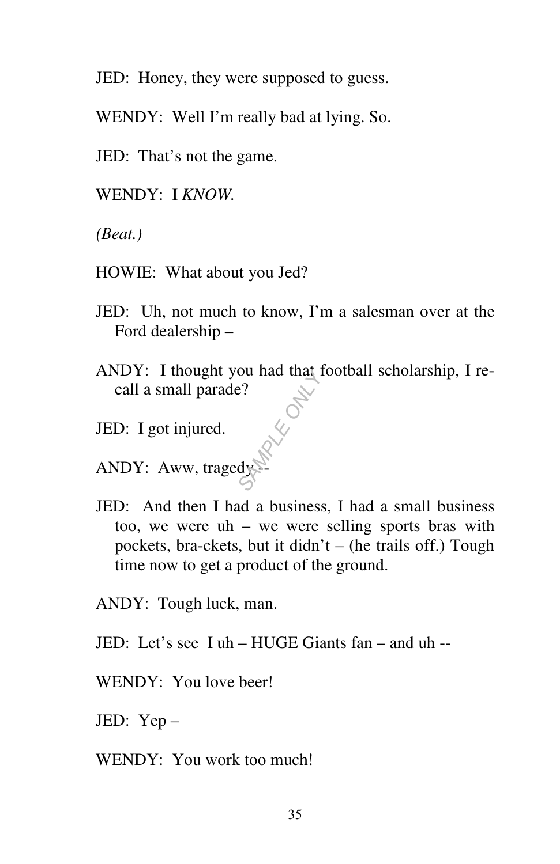JED: Honey, they were supposed to guess.

WENDY: Well I'm really bad at lying. So.

JED: That's not the game.

WENDY: I *KNOW.* 

*(Beat.)* 

- HOWIE: What about you Jed?
- JED: Uh, not much to know, I'm a salesman over at the Ford dealership –
- ANDY: I thought you had that football scholarship, I recall a small parade? *SAMPLE ONLY*
- JED: I got injured.
- ANDY: Aww, tragedy
- JED: And then I had a business, I had a small business too, we were uh – we were selling sports bras with pockets, bra-ckets, but it didn't – (he trails off.) Tough time now to get a product of the ground.

ANDY: Tough luck, man.

- JED: Let's see I uh HUGE Giants fan and uh --
- WENDY: You love beer!

JED: Yep –

WENDY: You work too much!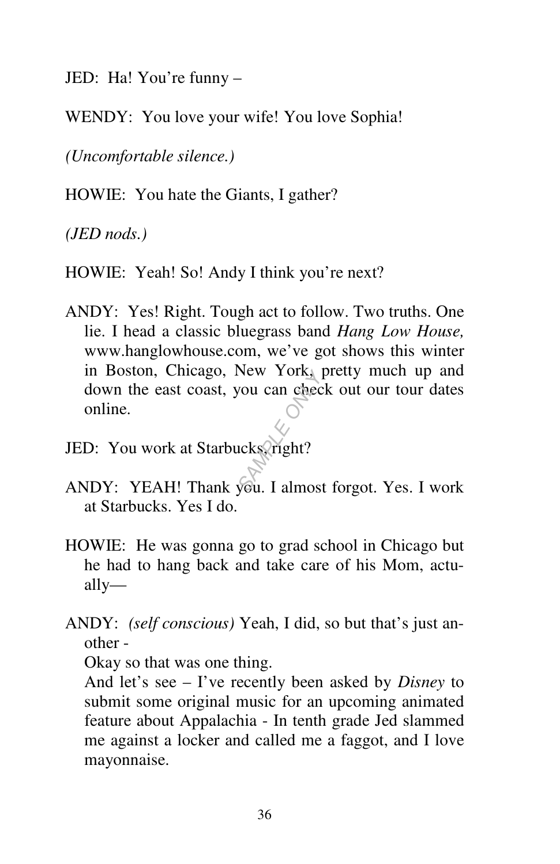JED: Ha! You're funny –

WENDY: You love your wife! You love Sophia!

*(Uncomfortable silence.)* 

HOWIE: You hate the Giants, I gather?

*(JED nods.)* 

HOWIE: Yeah! So! Andy I think you're next?

- ANDY: Yes! Right. Tough act to follow. Two truths. One lie. I head a classic bluegrass band *Hang Low House,*  www.hanglowhouse.com, we've got shows this winter in Boston, Chicago, New York, pretty much up and down the east coast, you can check out our tour dates online. In Boston, Chicago, New York, pretty much up and<br>down the east coast, you can check out our tour dates<br>online.<br>JED: You work at Starbucks right?<br>ANDY: YEAH! Thank you. I almost forgot. Yes. I work
- JED: You work at Starbucks, right?
- at Starbucks. Yes I do.
- HOWIE: He was gonna go to grad school in Chicago but he had to hang back and take care of his Mom, actually—
- ANDY: *(self conscious)* Yeah, I did, so but that's just another -

Okay so that was one thing.

 And let's see – I've recently been asked by *Disney* to submit some original music for an upcoming animated feature about Appalachia - In tenth grade Jed slammed me against a locker and called me a faggot, and I love mayonnaise.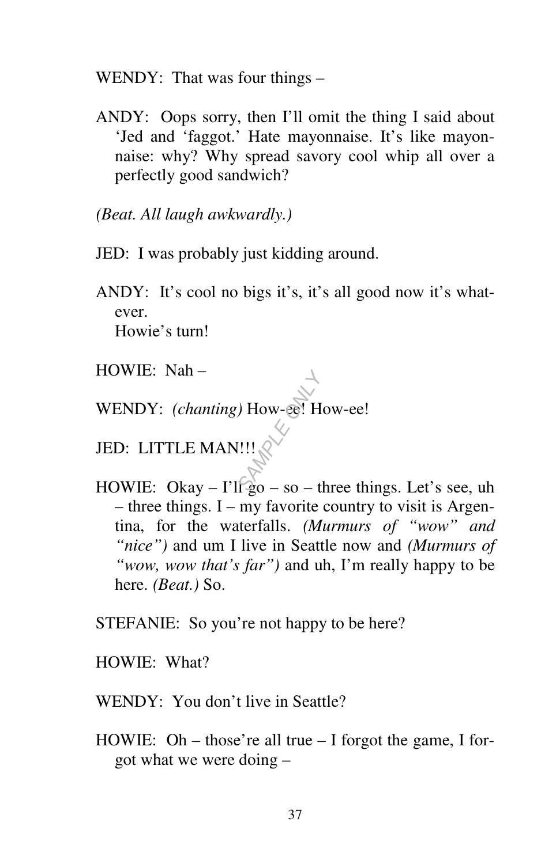WENDY: That was four things –

ANDY: Oops sorry, then I'll omit the thing I said about 'Jed and 'faggot.' Hate mayonnaise. It's like mayonnaise: why? Why spread savory cool whip all over a perfectly good sandwich?

*(Beat. All laugh awkwardly.)* 

- JED: I was probably just kidding around.
- ANDY: It's cool no bigs it's, it's all good now it's whatever. Howie's turn!
- HOWIE: Nah –
- WENDY: *(chanting)* How-ee! How-ee!  $\overrightarrow{3}$ <br> *SAMPLE*<br>
SAMPLE ONLY<br>
SAMPLE ONLY

JED: LITTLE MAN!!!

HOWIE: Okay –  $\Gamma \leq 0$  – so – three things. Let's see, uh – three things. I – my favorite country to visit is Argentina, for the waterfalls. *(Murmurs of "wow" and "nice")* and um I live in Seattle now and *(Murmurs of "wow, wow that's far")* and uh, I'm really happy to be here. *(Beat.)* So.

STEFANIE: So you're not happy to be here?

HOWIE: What?

WENDY: You don't live in Seattle?

HOWIE: Oh – those're all true – I forgot the game, I forgot what we were doing –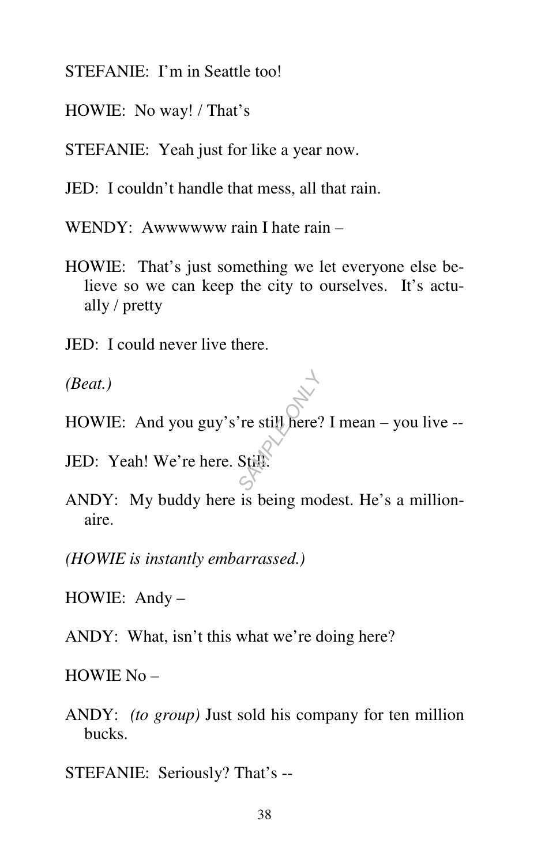STEFANIE: I'm in Seattle too!

- HOWIE: No way! / That's
- STEFANIE: Yeah just for like a year now.
- JED: I couldn't handle that mess, all that rain.
- WENDY: Awwwww rain I hate rain –
- HOWIE: That's just something we let everyone else believe so we can keep the city to ourselves. It's actually / pretty
- JED: I could never live there.

*(Beat.)* 

- HOWIE: And you guy's're still here? I mean you live -- **SAMPLE ONLY ASSEMBLE ONLY A**<br>SAMPLE ONLY A SAMPLE OF A SAMPLE OF A SAMPLE OF A SAMPLE OF A SAMPLE OF A SAMPLE OF A SAMPLE OF A SAMPLE OF A SAMPLE OF A SAMPLE OF A SAMPLE OF A SAMPLE OF A SAMPLE OF A SAMPLE OF A SAMPLE OF
- JED: Yeah! We're here. Still.
- ANDY: My buddy here is being modest. He's a millionaire.
- *(HOWIE is instantly embarrassed.)*
- HOWIE: Andy –
- ANDY: What, isn't this what we're doing here?

HOWIE No –

- ANDY: *(to group)* Just sold his company for ten million bucks.
- STEFANIE: Seriously? That's --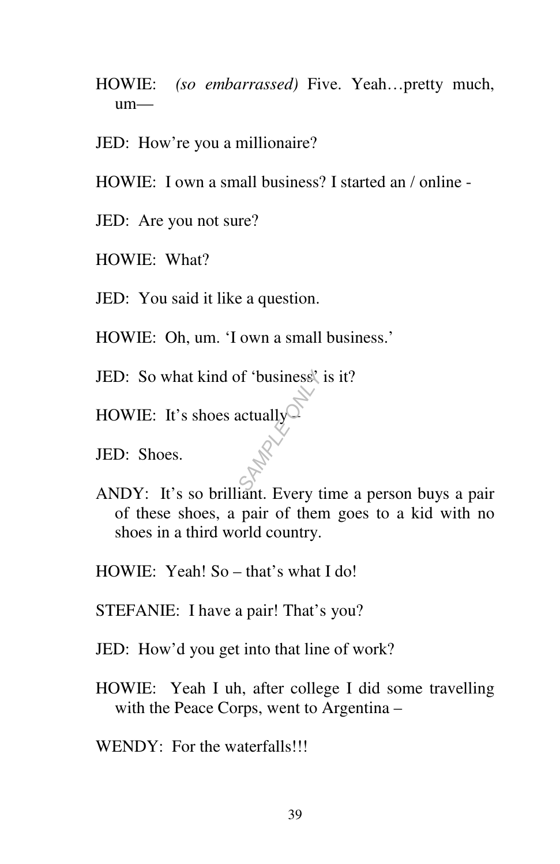- HOWIE: *(so embarrassed)* Five. Yeah…pretty much, um—
- JED: How're you a millionaire?
- HOWIE: I own a small business? I started an / online -
- JED: Are you not sure?
- HOWIE: What?
- JED: You said it like a question.
- HOWIE: Oh, um. 'I own a small business.'
- JED: So what kind of 'business' is it? **SAMPLE ONLY ASSESS**<br>
SAMPLE ONLY A STATE FOR THE ONLY ASSESSED.
- HOWIE: It's shoes actually  $\cup$
- JED: Shoes.
- ANDY: It's so brilliant. Every time a person buys a pair of these shoes, a pair of them goes to a kid with no shoes in a third world country.
- HOWIE: Yeah! So that's what I do!
- STEFANIE: I have a pair! That's you?
- JED: How'd you get into that line of work?
- HOWIE: Yeah I uh, after college I did some travelling with the Peace Corps, went to Argentina –
- WENDY: For the waterfalls!!!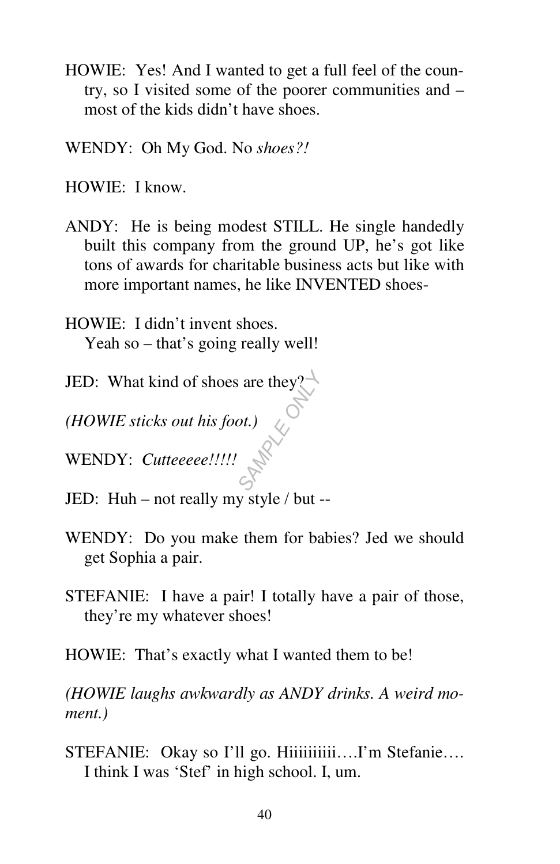- HOWIE: Yes! And I wanted to get a full feel of the country, so I visited some of the poorer communities and – most of the kids didn't have shoes.
- WENDY: Oh My God. No *shoes?!*

HOWIE: I know.

- ANDY: He is being modest STILL. He single handedly built this company from the ground UP, he's got like tons of awards for charitable business acts but like with more important names, he like INVENTED shoes-
- HOWIE: I didn't invent shoes. Yeah so – that's going really well!
- JED: What kind of shoes are they? are they 2
- *(HOWIE sticks out his foot.)*
- WENDY: *Cutteeeee!!!!!*
- JED: Huh not really my style / but --
- WENDY: Do you make them for babies? Jed we should get Sophia a pair.
- STEFANIE: I have a pair! I totally have a pair of those, they're my whatever shoes!
- HOWIE: That's exactly what I wanted them to be!

*(HOWIE laughs awkwardly as ANDY drinks. A weird moment.)* 

STEFANIE: Okay so I'll go. Hiiiiiiiiii....I'm Stefanie.... I think I was 'Stef' in high school. I, um.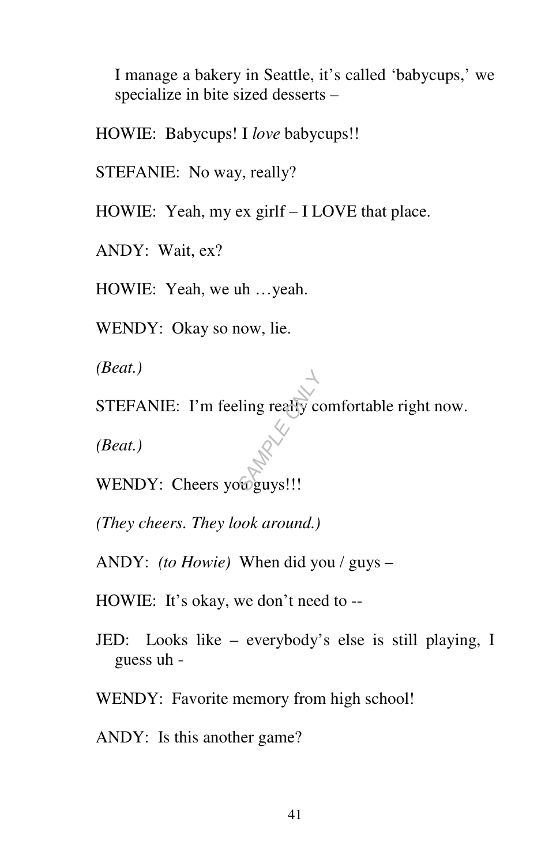I manage a bakery in Seattle, it's called 'babycups,' we specialize in bite sized desserts –

HOWIE: Babycups! I *love* babycups!!

STEFANIE: No way, really?

HOWIE: Yeah, my ex girlf – I LOVE that place.

ANDY: Wait, ex?

HOWIE: Yeah, we uh …yeah.

WENDY: Okay so now, lie.

*(Beat.)* 

STEFANIE: I'm feeling really comfortable right now. **SAMPLE OF SAMPLE OF SAMPLE OF SAMPLE OF SAMPLE OF SAMPLE OF SAMPLE OF SAMPLE OF SAMPLE OF SAMPLE OF SAMPLE OF S** 

*(Beat.)* 

WENDY: Cheers you guys!!!

*(They cheers. They look around.)* 

ANDY: *(to Howie)* When did you / guys –

HOWIE: It's okay, we don't need to --

JED: Looks like – everybody's else is still playing, I guess uh -

WENDY: Favorite memory from high school!

ANDY: Is this another game?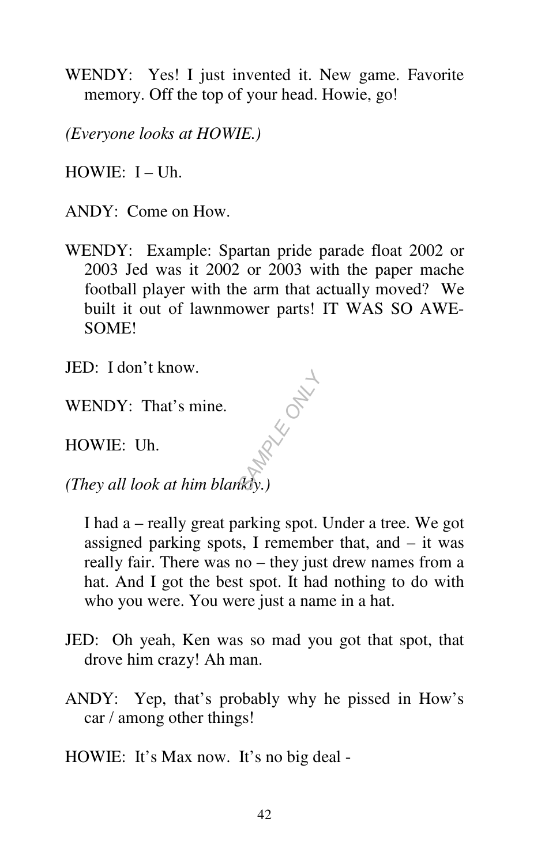WENDY: Yes! I just invented it. New game. Favorite memory. Off the top of your head. Howie, go!

*(Everyone looks at HOWIE.)* 

 $HOWIE: I - Uh.$ 

ANDY: Come on How.

WENDY: Example: Spartan pride parade float 2002 or 2003 Jed was it 2002 or 2003 with the paper mache football player with the arm that actually moved? We built it out of lawnmower parts! IT WAS SO AWE-SOME!

JED: I don't know.

WENDY: That's mine.

HOWIE: Uh.

*(They all look at him blankly.)*  **MAX**<br>RKROWLL

 I had a – really great parking spot. Under a tree. We got assigned parking spots, I remember that, and – it was really fair. There was no – they just drew names from a hat. And I got the best spot. It had nothing to do with who you were. You were just a name in a hat.

- JED: Oh yeah, Ken was so mad you got that spot, that drove him crazy! Ah man.
- ANDY: Yep, that's probably why he pissed in How's car / among other things!
- HOWIE: It's Max now. It's no big deal -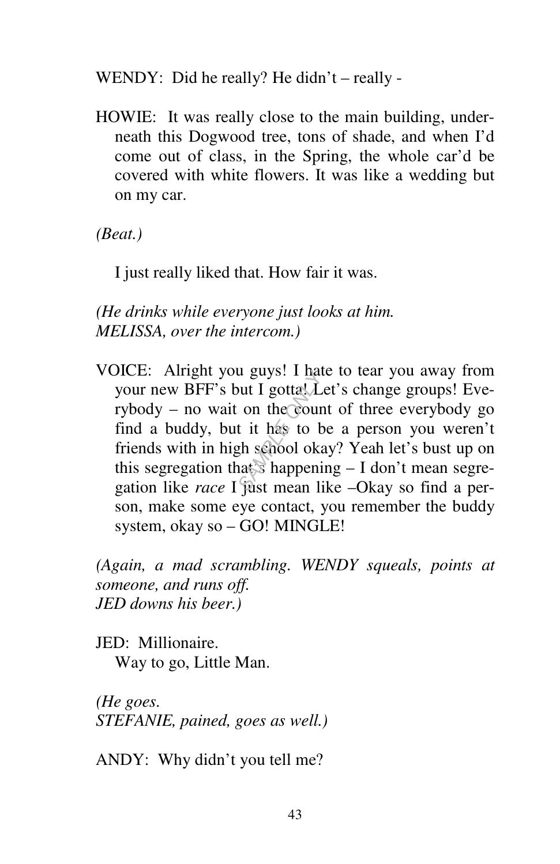WENDY: Did he really? He didn't – really -

HOWIE: It was really close to the main building, underneath this Dogwood tree, tons of shade, and when I'd come out of class, in the Spring, the whole car'd be covered with white flowers. It was like a wedding but on my car.

*(Beat.)* 

I just really liked that. How fair it was.

*(He drinks while everyone just looks at him. MELISSA, over the intercom.)* 

VOICE: Alright you guys! I hate to tear you away from your new BFF's but I gotta. Let's change groups! Everybody – no wait on the count of three everybody go find a buddy, but it has to be a person you weren't friends with in high school okay? Yeah let's bust up on this segregation that's happening – I don't mean segregation like *race* I just mean like –Okay so find a person, make some eye contact, you remember the buddy system, okay so – GO! MINGLE! out I gotta<sup>y</sup>. I had<br>
on the cour<br>
t it has to b<br>
gh school oka<br>
aat shappeni<br>
was happeni

*(Again, a mad scrambling. WENDY squeals, points at someone, and runs off. JED downs his beer.)* 

JED: Millionaire. Way to go, Little Man.

*(He goes. STEFANIE, pained, goes as well.)* 

ANDY: Why didn't you tell me?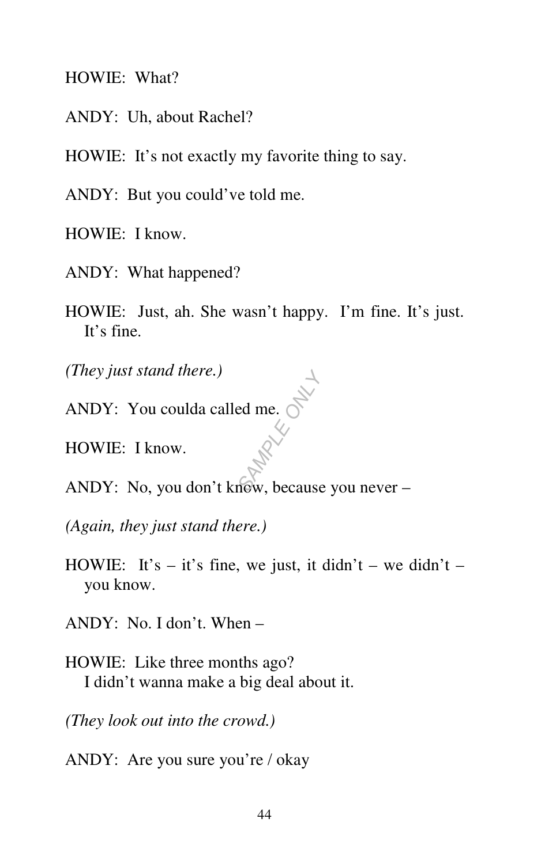HOWIE: What?

ANDY: Uh, about Rachel?

HOWIE: It's not exactly my favorite thing to say.

ANDY: But you could've told me.

HOWIE: I know.

- ANDY: What happened?
- HOWIE: Just, ah. She wasn't happy. I'm fine. It's just. It's fine.

*(They just stand there.)* 

ANDY: You coulda called me.

HOWIE: I know.

ANDY: No, you don't know, because you never – **Brad** me. Only

*(Again, they just stand there.)* 

HOWIE: It's – it's fine, we just, it didn't – we didn't – you know.

ANDY: No. I don't. When –

HOWIE: Like three months ago? I didn't wanna make a big deal about it.

*(They look out into the crowd.)* 

ANDY: Are you sure you're / okay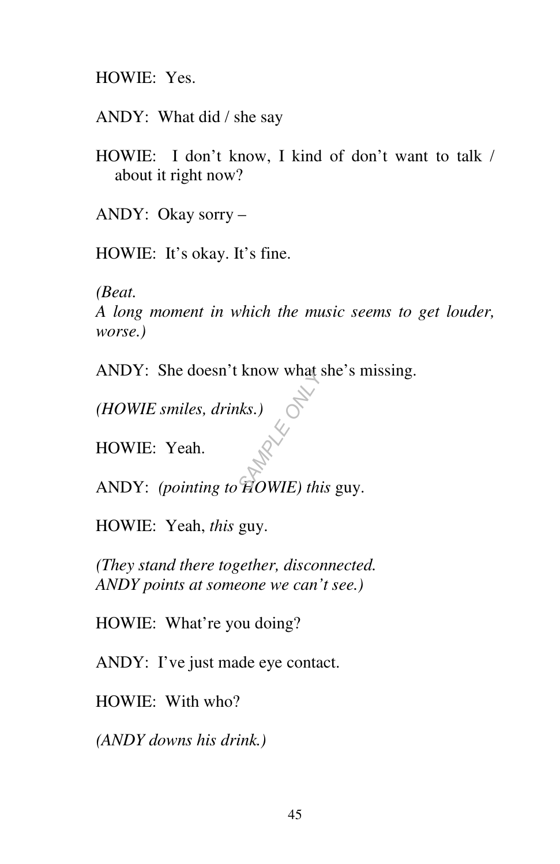HOWIE: Yes.

ANDY: What did / she say

HOWIE: I don't know, I kind of don't want to talk / about it right now?

ANDY: Okay sorry –

HOWIE: It's okay. It's fine.

*(Beat.* 

*A long moment in which the music seems to get louder, worse.)* 

ANDY: She doesn't know what she's missing.

*(HOWIE smiles, drinks.)* 

HOWIE: Yeah.

ANDY: *(pointing to HOWIE) this* guy. *SAMPLE CONCEY*<br>
SAMPLE ONLY CONCEY TO THE ONLY CONCEY TO THE ONLY CONCEY OF THE ONLY CONCEY OF THE ONLY CONCEY OF THE ONLY CONCEYS TO THE ONLY CONCEYS TO THE ONLY CONCEYS OF THE ONLY CONCEYS OF THE ONLY CONCEYS OF THE ONL

HOWIE: Yeah, *this* guy.

*(They stand there together, disconnected. ANDY points at someone we can't see.)* 

HOWIE: What're you doing?

ANDY: I've just made eye contact.

HOWIE: With who?

*(ANDY downs his drink.)*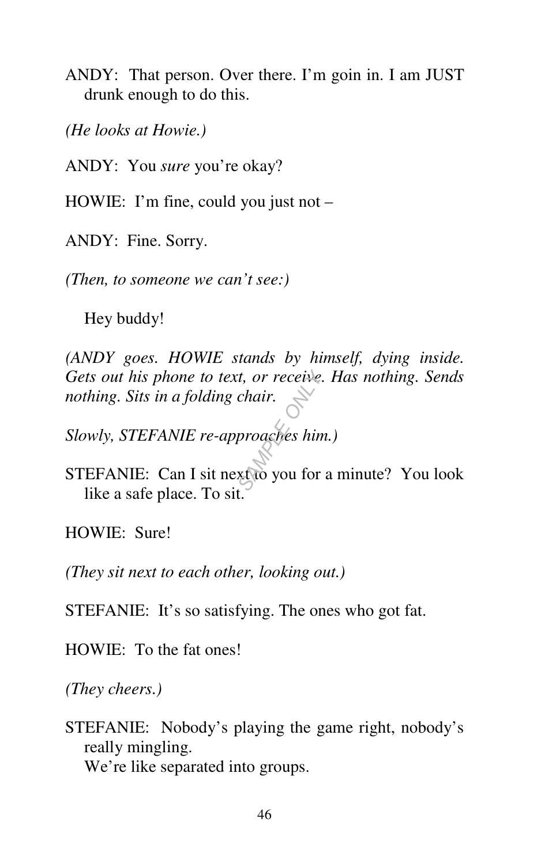ANDY: That person. Over there. I'm goin in. I am JUST drunk enough to do this.

*(He looks at Howie.)* 

ANDY: You *sure* you're okay?

HOWIE: I'm fine, could you just not –

ANDY: Fine. Sorry.

*(Then, to someone we can't see:)* 

Hey buddy!

*(ANDY goes. HOWIE stands by himself, dying inside. Gets out his phone to text, or receive. Has nothing. Sends nothing. Sits in a folding chair. s*, *or receive.*<br>*Chair.*<br>*S*<br>proaches him<br>*SA* you for

*Slowly, STEFANIE re-approaches him.)* 

STEFANIE: Can I sit next to you for a minute? You look like a safe place. To sit.

HOWIE: Sure!

*(They sit next to each other, looking out.)* 

STEFANIE: It's so satisfying. The ones who got fat.

HOWIE: To the fat ones!

*(They cheers.)* 

STEFANIE: Nobody's playing the game right, nobody's really mingling. We're like separated into groups.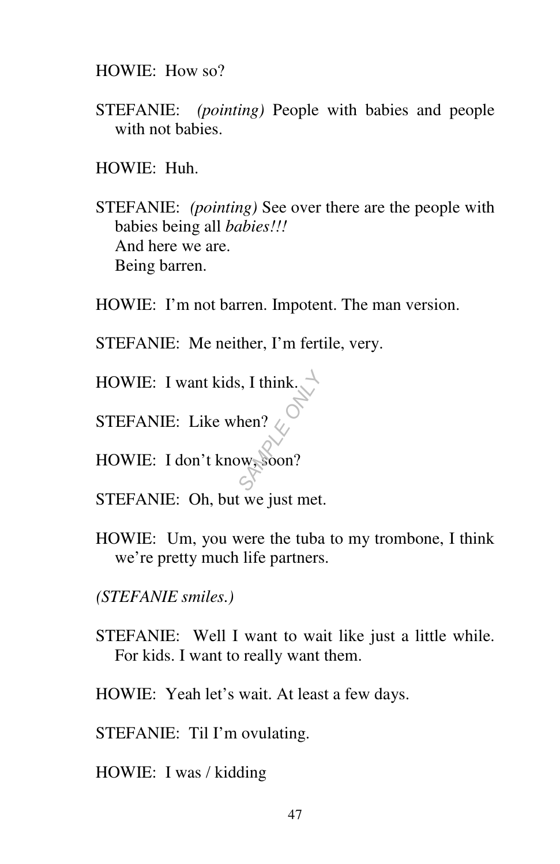HOWIE: How so?

STEFANIE: *(pointing)* People with babies and people with not babies.

HOWIE: Huh.

- STEFANIE: *(pointing)* See over there are the people with babies being all *babies!!!*  And here we are. Being barren.
- HOWIE: I'm not barren. Impotent. The man version.
- STEFANIE: Me neither, I'm fertile, very.
- HOWIE: I want kids, I think.  $\lim_{h\to 0}$ <br>  $\lim_{h\to 0}$ <br>  $\lim_{h\to 0}$ <br>  $\lim_{h\to 0}$
- STEFANIE: Like when?  $\otimes$
- HOWIE: I don't know, soon?
- STEFANIE: Oh, but we just met.
- HOWIE: Um, you were the tuba to my trombone, I think we're pretty much life partners.

*(STEFANIE smiles.)* 

- STEFANIE: Well I want to wait like just a little while. For kids. I want to really want them.
- HOWIE: Yeah let's wait. At least a few days.
- STEFANIE: Til I'm ovulating.
- HOWIE: I was / kidding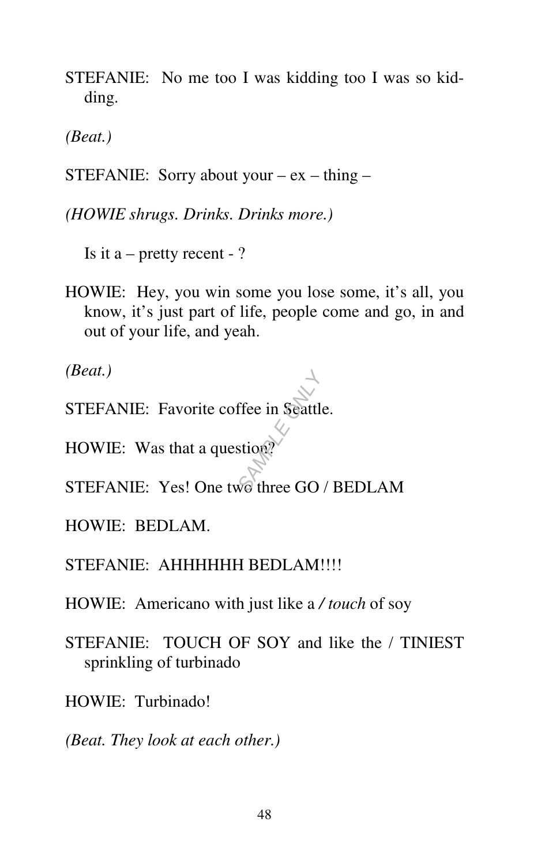STEFANIE: No me too I was kidding too I was so kidding.

*(Beat.)* 

STEFANIE: Sorry about your –  $ex - thing -$ 

*(HOWIE shrugs. Drinks. Drinks more.)* 

Is it a – pretty recent - ?

HOWIE: Hey, you win some you lose some, it's all, you know, it's just part of life, people come and go, in and out of your life, and yeah.

*(Beat.)* 

- STEFANIE: Favorite coffee in Seattle. Free in Seattle<br>
stion<sup>2</sup><br>
Sample GO
- HOWIE: Was that a question?
- STEFANIE: Yes! One two three GO / BEDLAM
- HOWIE: BEDLAM.

STEFANIE: AHHHHHH BEDLAM!!!!

- HOWIE: Americano with just like a */ touch* of soy
- STEFANIE: TOUCH OF SOY and like the / TINIEST sprinkling of turbinado

HOWIE: Turbinado!

*(Beat. They look at each other.)*